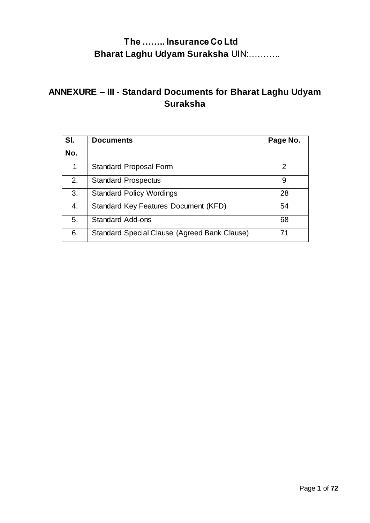# **ANNEXURE – III - Standard Documents for Bharat Laghu Udyam Suraksha**

| SI.<br>No. | <b>Documents</b>                             | Page No. |
|------------|----------------------------------------------|----------|
| 1          | <b>Standard Proposal Form</b>                | 2        |
| 2.         | <b>Standard Prospectus</b>                   | 9        |
| 3.         | <b>Standard Policy Wordings</b>              | 28       |
| 4.         | Standard Key Features Document (KFD)         | 54       |
| 5.         | <b>Standard Add-ons</b>                      | 68       |
| 6.         | Standard Special Clause (Agreed Bank Clause) | 71       |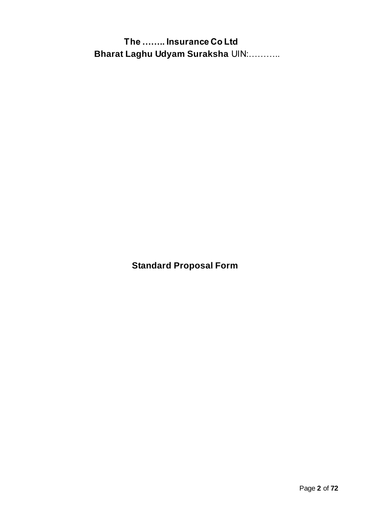**Standard Proposal Form**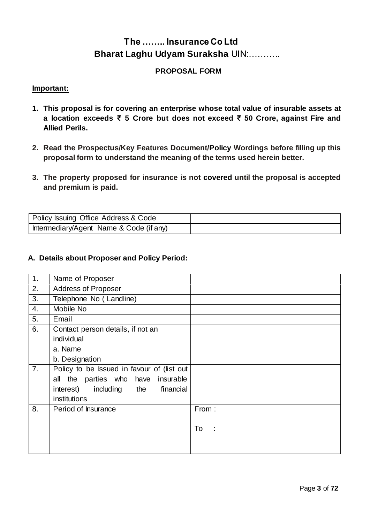#### **PROPOSAL FORM**

#### **Important:**

- **1. This proposal is for covering an enterprise whose total value of insurable assets at a location exceeds ₹ 5 Crore but does not exceed ₹ 50 Crore, against Fire and Allied Perils.**
- **2. Read the Prospectus/Key Features Document/Policy Wordings before filling up this proposal form to understand the meaning of the terms used herein better.**
- **3. The property proposed for insurance is not covered until the proposal is accepted and premium is paid.**

| Policy Issuing Office Address & Code    |  |
|-----------------------------------------|--|
| Intermediary/Agent Name & Code (if any) |  |

#### **A. Details about Proposer and Policy Period:**

| 1. | Name of Proposer                           |           |
|----|--------------------------------------------|-----------|
| 2. | <b>Address of Proposer</b>                 |           |
| 3. | Telephone No (Landline)                    |           |
| 4. | Mobile No                                  |           |
| 5. | Email                                      |           |
| 6. | Contact person details, if not an          |           |
|    | individual                                 |           |
|    | a. Name                                    |           |
|    | b. Designation                             |           |
| 7. | Policy to be Issued in favour of (list out |           |
|    | all the parties who have insurable         |           |
|    | interest) including the<br>financial       |           |
|    | institutions                               |           |
| 8. | Period of Insurance                        | From:     |
|    |                                            |           |
|    |                                            | To<br>- 1 |
|    |                                            |           |
|    |                                            |           |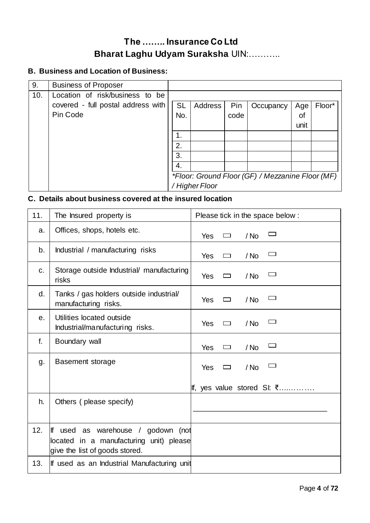### **B. Business and Location of Business:**

| 9.  | <b>Business of Proposer</b>        |           |                |      |                                                  |      |        |
|-----|------------------------------------|-----------|----------------|------|--------------------------------------------------|------|--------|
| 10. | Location of risk/business to be    |           |                |      |                                                  |      |        |
|     | covered - full postal address with | <b>SL</b> | Address        | Pin  | Occupancy                                        | Age  | Floor* |
|     | Pin Code                           | No.       |                | code |                                                  | οf   |        |
|     |                                    |           |                |      |                                                  | unit |        |
|     |                                    | 1.        |                |      |                                                  |      |        |
|     |                                    | 2.        |                |      |                                                  |      |        |
|     |                                    | 3.        |                |      |                                                  |      |        |
|     |                                    | 4.        |                |      |                                                  |      |        |
|     |                                    |           |                |      | *Floor: Ground Floor (GF) / Mezzanine Floor (MF) |      |        |
|     |                                    |           | / Higher Floor |      |                                                  |      |        |

### **C. Details about business covered at the insured location**

| 11.            | The Insured property is                                                                                         | Please tick in the space below:         |
|----------------|-----------------------------------------------------------------------------------------------------------------|-----------------------------------------|
| a.             | Offices, shops, hotels etc.                                                                                     | Yes<br>/ No<br>$\Box$                   |
| b.             | Industrial / manufacturing risks                                                                                | $\Box$<br>Yes<br>/ No<br>$\Box$         |
| C.             | Storage outside Industrial/ manufacturing<br>risks                                                              | Yes<br>/ No<br>$\overline{\phantom{a}}$ |
| d.             | Tanks / gas holders outside industrial/<br>manufacturing risks.                                                 | <b>Yes</b><br>$/$ No<br>$\Box$          |
| e <sub>1</sub> | Utilities located outside<br>Industrial/manufacturing risks.                                                    | / No<br><b>Yes</b><br>□                 |
| f.             | Boundary wall                                                                                                   | $\Box$<br>Yes<br>/ No<br>$\Box$         |
| g.             | <b>Basement storage</b>                                                                                         | Yes<br>/ No<br>$\Box$                   |
|                |                                                                                                                 | If, yes value stored SI: $\bar{\xi}$    |
| h.             | Others (please specify)                                                                                         |                                         |
| 12.            | If used as warehouse / godown (not<br>located in a manufacturing unit) please<br>give the list of goods stored. |                                         |
| 13.            | If used as an Industrial Manufacturing unit                                                                     |                                         |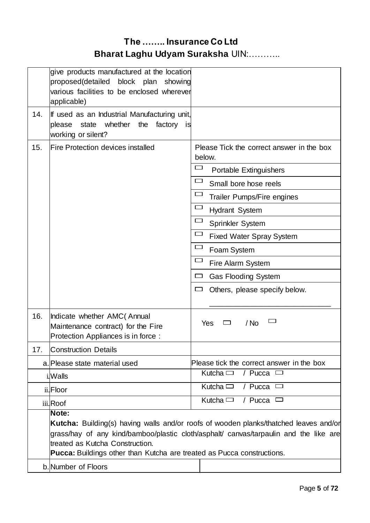|     | give products manufactured at the location<br>proposed(detailed<br>block plan<br>showing<br>various facilities to be enclosed wherever<br>applicable) |                                                                                                                                                                                       |
|-----|-------------------------------------------------------------------------------------------------------------------------------------------------------|---------------------------------------------------------------------------------------------------------------------------------------------------------------------------------------|
| 14. | If used as an Industrial Manufacturing unit,<br>whether<br>the<br>factory<br>please<br>state<br>is<br>working or silent?                              |                                                                                                                                                                                       |
| 15. | <b>Fire Protection devices installed</b>                                                                                                              | Please Tick the correct answer in the box<br>below.                                                                                                                                   |
|     |                                                                                                                                                       | 一<br>Portable Extinguishers                                                                                                                                                           |
|     |                                                                                                                                                       | Small bore hose reels                                                                                                                                                                 |
|     |                                                                                                                                                       | Trailer Pumps/Fire engines                                                                                                                                                            |
|     |                                                                                                                                                       | لـــا<br><b>Hydrant System</b>                                                                                                                                                        |
|     |                                                                                                                                                       | $\overline{\phantom{a}}$<br>Sprinkler System                                                                                                                                          |
|     |                                                                                                                                                       | <b>Fixed Water Spray System</b>                                                                                                                                                       |
|     |                                                                                                                                                       | Foam System                                                                                                                                                                           |
|     |                                                                                                                                                       | Fire Alarm System                                                                                                                                                                     |
|     |                                                                                                                                                       | <b>Gas Flooding System</b>                                                                                                                                                            |
|     |                                                                                                                                                       | Others, please specify below.<br>ட                                                                                                                                                    |
| 16. | Indicate whether AMC (Annual<br>Maintenance contract) for the Fire<br>Protection Appliances is in force :                                             | Yes<br>/ No<br>$\overline{\phantom{a}}$                                                                                                                                               |
| 17. | <b>Construction Details</b>                                                                                                                           |                                                                                                                                                                                       |
|     | a. Please state material used                                                                                                                         | Please tick the correct answer in the box                                                                                                                                             |
|     | i.Walls                                                                                                                                               | Kutcha $\Box$<br>/ Pucca<br>$\overline{\phantom{a}}$                                                                                                                                  |
|     | ii.Floor                                                                                                                                              | Kutcha $\Box$<br>/ Pucca $\Box$                                                                                                                                                       |
|     | iii.Roof                                                                                                                                              | Kutcha $\Box$<br>/ Pucca                                                                                                                                                              |
|     | Note:<br>treated as Kutcha Construction.<br>Pucca: Buildings other than Kutcha are treated as Pucca constructions.                                    | <b>Kutcha:</b> Building(s) having walls and/or roofs of wooden planks/thatched leaves and/or<br>grass/hay of any kind/bamboo/plastic cloth/asphalt/ canvas/tarpaulin and the like are |
|     | b. Number of Floors                                                                                                                                   |                                                                                                                                                                                       |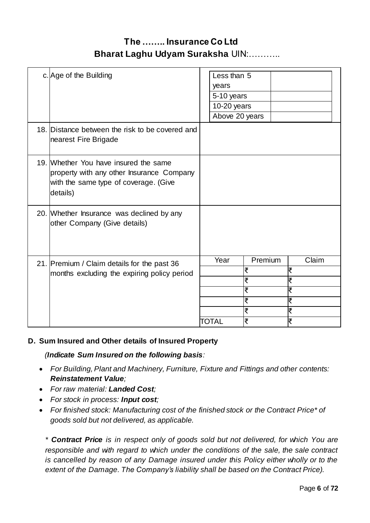| c. Age of the Building                                                                                                                  | Less than 5<br>years<br>5-10 years<br>10-20 years<br>Above 20 years |                                       |                                     |
|-----------------------------------------------------------------------------------------------------------------------------------------|---------------------------------------------------------------------|---------------------------------------|-------------------------------------|
| 18. Distance between the risk to be covered and<br>nearest Fire Brigade                                                                 |                                                                     |                                       |                                     |
| 19. Whether You have insured the same<br>property with any other Insurance Company<br>with the same type of coverage. (Give<br>details) |                                                                     |                                       |                                     |
| 20. Whether Insurance was declined by any<br>other Company (Give details)                                                               |                                                                     |                                       |                                     |
| 21. Premium / Claim details for the past 36<br>months excluding the expiring policy period                                              | Year<br>TOTAL                                                       | Premium<br>₹<br>₹<br>₹<br>₹<br>₹<br>₹ | Claim<br>₹<br>₹<br>₹<br>ख<br>₹<br>₹ |
|                                                                                                                                         |                                                                     |                                       |                                     |

#### **D. Sum Insured and Other details of Insured Property**

 *(Indicate Sum Insured on the following basis:*

- *For Building, Plant and Machinery, Furniture, Fixture and Fittings and other contents: Reinstatement Value;*
- *For raw material: Landed Cost;*
- *For stock in process: Input cost;*
- *For finished stock: Manufacturing cost of the finished stock or the Contract Price\* of goods sold but not delivered, as applicable.*

*\* Contract Price is in respect only of goods sold but not delivered, for which You are responsible and with regard to which under the conditions of the sale, the sale contract is cancelled by reason of any Damage insured under this Policy either wholly or to the extent of the Damage. The Company's liability shall be based on the Contract Price).*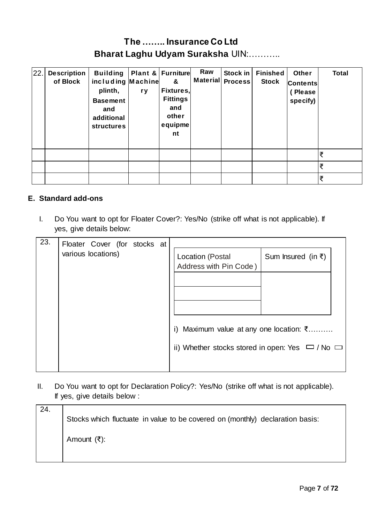| 22. | <b>Description</b><br>of Block | <b>Building</b><br>including Machine<br>plinth,<br><b>Basement</b><br>and<br>additional<br><b>structures</b> | r y | Plant & Furniture<br>&<br>Fixtures,<br><b>Fittings</b><br>and<br>other<br>equipme<br>nt | Raw | Stock in<br>Material Process | <b>Finished</b><br><b>Stock</b> | Other<br><b>Contents</b><br>(Please<br>specify) | <b>Total</b> |
|-----|--------------------------------|--------------------------------------------------------------------------------------------------------------|-----|-----------------------------------------------------------------------------------------|-----|------------------------------|---------------------------------|-------------------------------------------------|--------------|
|     |                                |                                                                                                              |     |                                                                                         |     |                              |                                 |                                                 | ₹            |
|     |                                |                                                                                                              |     |                                                                                         |     |                              |                                 |                                                 | ₹            |
|     |                                |                                                                                                              |     |                                                                                         |     |                              |                                 |                                                 | ₹            |

#### **E. Standard add-ons**

I. Do You want to opt for Floater Cover?: Yes/No (strike off what is not applicable). If yes, give details below:

| 23. | Floater Cover (for stocks at |                                                                                                                |                                            |                    |
|-----|------------------------------|----------------------------------------------------------------------------------------------------------------|--------------------------------------------|--------------------|
|     | various locations)           |                                                                                                                | Location (Postal<br>Address with Pin Code) | Sum Insured (in ₹) |
|     |                              | i) Maximum value at any one location: $\bar{\xi}$<br>ii) Whether stocks stored in open: Yes $\Box$ / No $\Box$ |                                            |                    |

II. Do You want to opt for Declaration Policy?: Yes/No (strike off what is not applicable). If yes, give details below :

| 24. | Stocks which fluctuate in value to be covered on (monthly) declaration basis: |
|-----|-------------------------------------------------------------------------------|
|     | Amount (₹):                                                                   |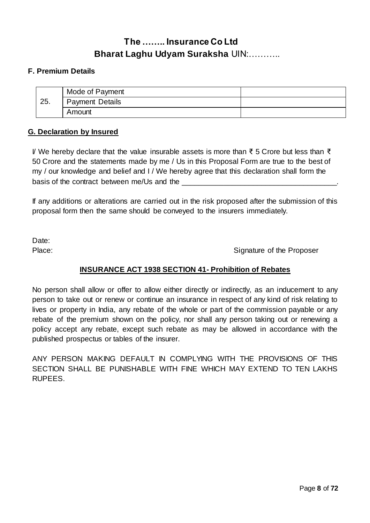#### **F. Premium Details**

|     | Mode of Payment        |  |
|-----|------------------------|--|
| 25. | <b>Payment Details</b> |  |
|     | Amount                 |  |

#### **G. Declaration by Insured**

I/ We hereby declare that the value insurable assets is more than ₹ 5 Crore but less than ₹ 50 Crore and the statements made by me / Us in this Proposal Form are true to the best of my / our knowledge and belief and I / We hereby agree that this declaration shall form the basis of the contract between me/Us and the

If any additions or alterations are carried out in the risk proposed after the submission of this proposal form then the same should be conveyed to the insurers immediately.

Date:

Place: Signature of the Proposer

#### **INSURANCE ACT 1938 SECTION 41- Prohibition of Rebates**

No person shall allow or offer to allow either directly or indirectly, as an inducement to any person to take out or renew or continue an insurance in respect of any kind of risk relating to lives or property in India, any rebate of the whole or part of the commission payable or any rebate of the premium shown on the policy, nor shall any person taking out or renewing a policy accept any rebate, except such rebate as may be allowed in accordance with the published prospectus or tables of the insurer.

ANY PERSON MAKING DEFAULT IN COMPLYING WITH THE PROVISIONS OF THIS SECTION SHALL BE PUNISHABLE WITH FINE WHICH MAY EXTEND TO TEN LAKHS RUPEES.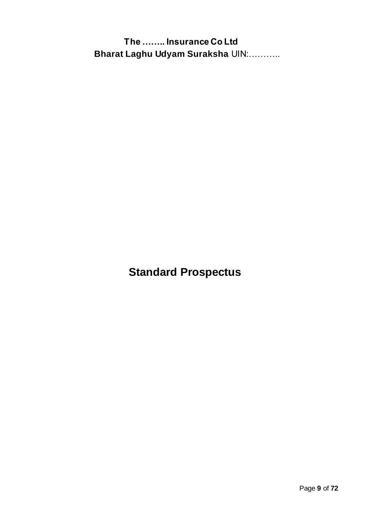**Standard Prospectus**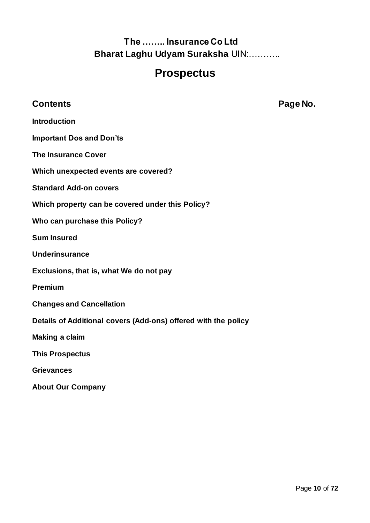# **Prospectus**

### **Contents Page No.**

**Introduction**

#### **Important Dos and Don'ts**

- **The Insurance Cover**
- **Which unexpected events are covered?**
- **Standard Add-on covers**
- **Which property can be covered under this Policy?**
- **Who can purchase this Policy?**
- **Sum Insured**
- **Underinsurance**
- **Exclusions, that is, what We do not pay**
- **Premium**
- **Changes and Cancellation**
- **Details of Additional covers (Add-ons) offered with the policy**
- **Making a claim**
- **This Prospectus**
- **Grievances**
- **About Our Company**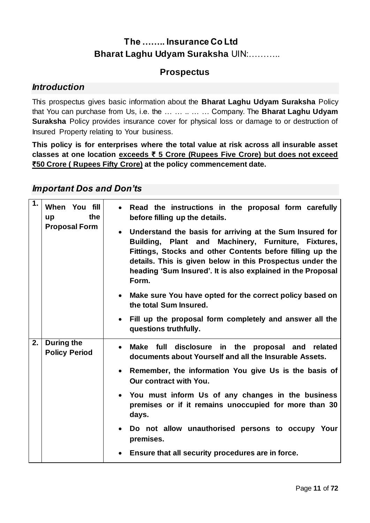### **Prospectus**

#### *Introduction*

This prospectus gives basic information about the **Bharat Laghu Udyam Suraksha** Policy that You can purchase from Us, i.e. the … … .. … … Company. The **Bharat Laghu Udyam Suraksha** Policy provides insurance cover for physical loss or damage to or destruction of Insured Property relating to Your business.

**This policy is for enterprises where the total value at risk across all insurable asset classes at one location exceeds ₹ 5 Crore (Rupees Five Crore) but does not exceed ₹50 Crore ( Rupees Fifty Crore) at the policy commencement date.**

### *Important Dos and Don'ts*

| 1. | When You fill<br>the<br>up<br><b>Proposal Form</b> | Read the instructions in the proposal form carefully<br>before filling up the details.<br>Understand the basis for arriving at the Sum Insured for<br>Building, Plant and Machinery, Furniture, Fixtures, |
|----|----------------------------------------------------|-----------------------------------------------------------------------------------------------------------------------------------------------------------------------------------------------------------|
|    |                                                    | Fittings, Stocks and other Contents before filling up the<br>details. This is given below in this Prospectus under the<br>heading 'Sum Insured'. It is also explained in the Proposal<br>Form.            |
|    |                                                    | Make sure You have opted for the correct policy based on<br>the total Sum Insured.                                                                                                                        |
|    |                                                    | Fill up the proposal form completely and answer all the<br>questions truthfully.                                                                                                                          |
| 2. | During the<br><b>Policy Period</b>                 | disclosure<br><b>Make</b><br>full<br>in the<br>proposal and related<br>documents about Yourself and all the Insurable Assets.                                                                             |
|    |                                                    | Remember, the information You give Us is the basis of<br>$\bullet$<br>Our contract with You.                                                                                                              |
|    |                                                    | • You must inform Us of any changes in the business<br>premises or if it remains unoccupied for more than 30<br>days.                                                                                     |
|    |                                                    | Do not allow unauthorised persons to occupy Your<br>premises.                                                                                                                                             |
|    |                                                    | Ensure that all security procedures are in force.                                                                                                                                                         |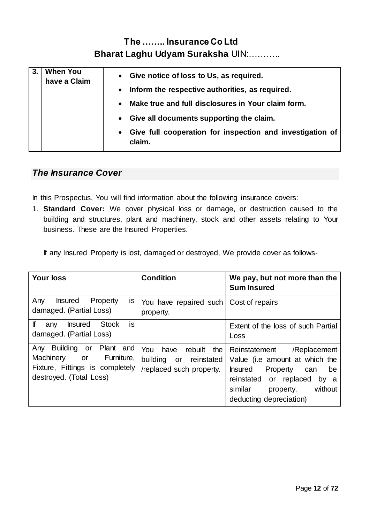| <b>When You</b><br>have a Claim | • Give notice of loss to Us, as required.<br>• Inform the respective authorities, as required.<br>Make true and full disclosures in Your claim form.<br>$\bullet$<br>• Give all documents supporting the claim.<br>Give full cooperation for inspection and investigation of<br>$\bullet$ |
|---------------------------------|-------------------------------------------------------------------------------------------------------------------------------------------------------------------------------------------------------------------------------------------------------------------------------------------|
|                                 | claim.                                                                                                                                                                                                                                                                                    |

### *The Insurance Cover*

In this Prospectus, You will find information about the following insurance covers:

1. **Standard Cover:** We cover physical loss or damage, or destruction caused to the building and structures, plant and machinery, stock and other assets relating to Your business. These are the Insured Properties.

If any Insured Property is lost, damaged or destroyed, We provide cover as follows-

| <b>Your loss</b>                                                                                                            | <b>Condition</b>                                                                    | We pay, but not more than the<br><b>Sum Insured</b>                                                                                                                                                     |
|-----------------------------------------------------------------------------------------------------------------------------|-------------------------------------------------------------------------------------|---------------------------------------------------------------------------------------------------------------------------------------------------------------------------------------------------------|
| Property<br>Any<br><b>Insured</b><br>is.<br>damaged. (Partial Loss)                                                         | You have repaired such<br>property.                                                 | Cost of repairs                                                                                                                                                                                         |
| lf<br>is<br><b>Stock</b><br><b>Insured</b><br>any<br>damaged. (Partial Loss)                                                |                                                                                     | Extent of the loss of such Partial<br>Loss                                                                                                                                                              |
| Building or Plant and<br>Any<br>Furniture,<br>Machinery<br>or<br>Fixture, Fittings is completely<br>destroyed. (Total Loss) | You<br>the<br>have<br>rebuilt<br>building or reinstated<br>/replaced such property. | Reinstatement<br>/Replacement<br>Value (i.e amount at which the<br><b>Insured</b><br>Property can<br>be<br>reinstated or replaced<br>by a<br>without<br>similar<br>property,<br>deducting depreciation) |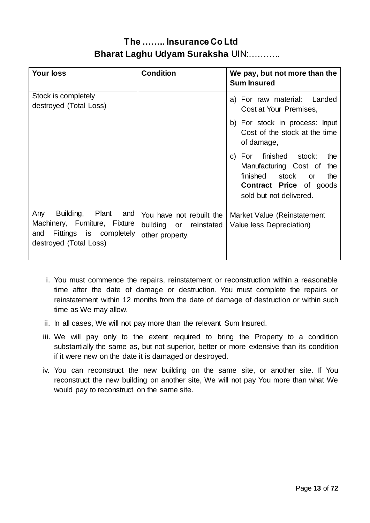| <b>Your loss</b>                                                                                                          | <b>Condition</b>                                                      | We pay, but not more than the<br><b>Sum Insured</b>                                                                                                             |
|---------------------------------------------------------------------------------------------------------------------------|-----------------------------------------------------------------------|-----------------------------------------------------------------------------------------------------------------------------------------------------------------|
| Stock is completely<br>destroyed (Total Loss)                                                                             |                                                                       | a) For raw material: Landed<br>Cost at Your Premises,                                                                                                           |
|                                                                                                                           |                                                                       | b) For stock in process: Input<br>Cost of the stock at the time<br>of damage,                                                                                   |
|                                                                                                                           |                                                                       | For finished stock:<br>the<br>C)<br>Manufacturing Cost of<br>the<br>finished<br>stock<br>the<br>or<br><b>Contract Price of goods</b><br>sold but not delivered. |
| Building, Plant<br>Any<br>and<br>Machinery, Furniture, Fixture<br>Fittings is completely<br>and<br>destroyed (Total Loss) | You have not rebuilt the<br>building or reinstated<br>other property. | Market Value (Reinstatement<br>Value less Depreciation)                                                                                                         |

- i. You must commence the repairs, reinstatement or reconstruction within a reasonable time after the date of damage or destruction. You must complete the repairs or reinstatement within 12 months from the date of damage of destruction or within such time as We may allow.
- ii. In all cases, We will not pay more than the relevant Sum Insured.
- iii. We will pay only to the extent required to bring the Property to a condition substantially the same as, but not superior, better or more extensive than its condition if it were new on the date it is damaged or destroyed.
- iv. You can reconstruct the new building on the same site, or another site. If You reconstruct the new building on another site, We will not pay You more than what We would pay to reconstruct on the same site.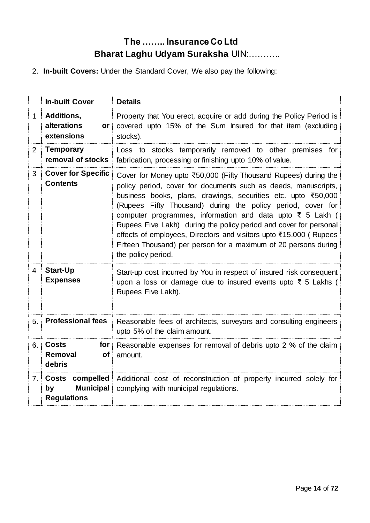2. **In-built Covers:** Under the Standard Cover, We also pay the following:

|                | <b>In-built Cover</b>                                                     | <b>Details</b>                                                                                                                                                                                                                                                                                                                                                                                                                                                                                                                                                                   |
|----------------|---------------------------------------------------------------------------|----------------------------------------------------------------------------------------------------------------------------------------------------------------------------------------------------------------------------------------------------------------------------------------------------------------------------------------------------------------------------------------------------------------------------------------------------------------------------------------------------------------------------------------------------------------------------------|
| 1.             | Additions,<br>alterations<br>or⊹<br>extensions                            | Property that You erect, acquire or add during the Policy Period is<br>covered upto 15% of the Sum Insured for that item (excluding<br>stocks).                                                                                                                                                                                                                                                                                                                                                                                                                                  |
| $\overline{2}$ | <b>Temporary</b><br>removal of stocks                                     | Loss to stocks temporarily removed to other premises for<br>fabrication, processing or finishing upto 10% of value.                                                                                                                                                                                                                                                                                                                                                                                                                                                              |
| 3              | <b>Cover for Specific</b><br><b>Contents</b>                              | Cover for Money upto ₹50,000 (Fifty Thousand Rupees) during the<br>policy period, cover for documents such as deeds, manuscripts,<br>business books, plans, drawings, securities etc. upto ₹50,000<br>(Rupees Fifty Thousand) during the policy period, cover for<br>computer programmes, information and data upto $\overline{\xi}$ 5 Lakh (<br>Rupees Five Lakh) during the policy period and cover for personal<br>effects of employees, Directors and visitors upto ₹15,000 (Rupees<br>Fifteen Thousand) per person for a maximum of 20 persons during<br>the policy period. |
| 4              | <b>Start-Up</b><br><b>Expenses</b>                                        | Start-up cost incurred by You in respect of insured risk consequent<br>upon a loss or damage due to insured events upto ₹ 5 Lakhs (<br>Rupees Five Lakh).                                                                                                                                                                                                                                                                                                                                                                                                                        |
| 5.1            | <b>Professional fees</b>                                                  | Reasonable fees of architects, surveyors and consulting engineers<br>upto 5% of the claim amount.                                                                                                                                                                                                                                                                                                                                                                                                                                                                                |
| 6.             | <b>Costs</b><br>for<br>Removal<br>of:<br>debris                           | Reasonable expenses for removal of debris upto 2 % of the claim<br>amount.                                                                                                                                                                                                                                                                                                                                                                                                                                                                                                       |
| 7.1            | compelled<br><b>Costs</b><br><b>Municipal</b><br>by<br><b>Regulations</b> | Additional cost of reconstruction of property incurred solely for<br>complying with municipal regulations.                                                                                                                                                                                                                                                                                                                                                                                                                                                                       |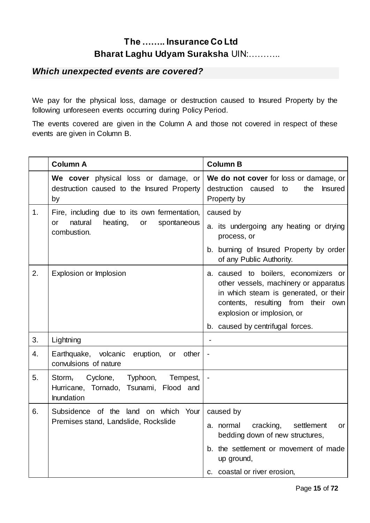### *Which unexpected events are covered?*

We pay for the physical loss, damage or destruction caused to Insured Property by the following unforeseen events occurring during Policy Period.

The events covered are given in the Column A and those not covered in respect of these events are given in Column B.

|    | <b>Column A</b>                                                                                               | <b>Column B</b>                                                                                                                                                                                                                |
|----|---------------------------------------------------------------------------------------------------------------|--------------------------------------------------------------------------------------------------------------------------------------------------------------------------------------------------------------------------------|
|    | We cover physical loss or damage, or<br>destruction caused to the Insured Property<br>by                      | We do not cover for loss or damage, or<br>destruction caused to<br>the<br><b>Insured</b><br>Property by                                                                                                                        |
| 1. | Fire, including due to its own fermentation,<br>natural<br>heating,<br>or<br>spontaneous<br>or<br>combustion. | caused by<br>a. its undergoing any heating or drying<br>process, or<br>b. burning of Insured Property by order<br>of any Public Authority.                                                                                     |
| 2. | Explosion or Implosion                                                                                        | a. caused to boilers, economizers or<br>other vessels, machinery or apparatus<br>in which steam is generated, or their<br>contents, resulting from their own<br>explosion or implosion, or<br>b. caused by centrifugal forces. |
| 3. | Lightning                                                                                                     |                                                                                                                                                                                                                                |
| 4. | Earthquake, volcanic eruption, or<br>other<br>convulsions of nature                                           |                                                                                                                                                                                                                                |
| 5. | Cyclone,<br>Typhoon,<br>Tempest,<br>Storm,<br>Hurricane, Tornado, Tsunami, Flood and<br>Inundation            |                                                                                                                                                                                                                                |
| 6. | Subsidence of the land on which Your<br>Premises stand, Landslide, Rockslide                                  | caused by<br>a. normal<br>cracking,<br>settlement<br>or<br>bedding down of new structures,<br>b. the settlement or movement of made<br>up ground,<br>c. coastal or river erosion,                                              |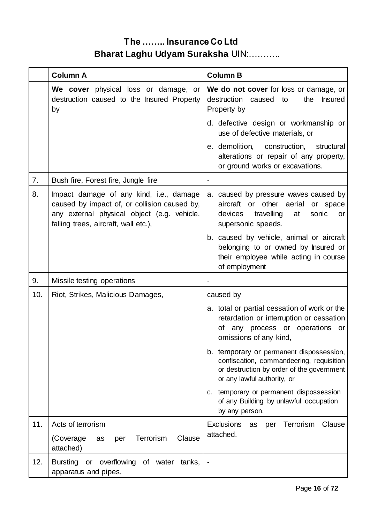|     | <b>Column A</b>                                                                                                                                                                | <b>Column B</b>                                                                                                                                                  |
|-----|--------------------------------------------------------------------------------------------------------------------------------------------------------------------------------|------------------------------------------------------------------------------------------------------------------------------------------------------------------|
|     | We cover physical loss or damage, or<br>destruction caused to the Insured Property<br>by                                                                                       | We do not cover for loss or damage, or<br>destruction caused<br>the<br><b>Insured</b><br>to<br>Property by                                                       |
|     |                                                                                                                                                                                | d. defective design or workmanship or<br>use of defective materials, or                                                                                          |
|     |                                                                                                                                                                                | e. demolition, construction,<br>structural<br>alterations or repair of any property,<br>or ground works or excavations.                                          |
| 7.  | Bush fire, Forest fire, Jungle fire                                                                                                                                            |                                                                                                                                                                  |
| 8.  | Impact damage of any kind, i.e., damage<br>caused by impact of, or collision caused by,<br>any external physical object (e.g. vehicle,<br>falling trees, aircraft, wall etc.), | a. caused by pressure waves caused by<br>aircraft or other aerial<br>or space<br>devices<br>travelling<br>at<br>sonic<br>or<br>supersonic speeds.                |
|     |                                                                                                                                                                                | b. caused by vehicle, animal or aircraft<br>belonging to or owned by Insured or<br>their employee while acting in course<br>of employment                        |
| 9.  | Missile testing operations                                                                                                                                                     |                                                                                                                                                                  |
| 10. | Riot, Strikes, Malicious Damages,                                                                                                                                              | caused by                                                                                                                                                        |
|     |                                                                                                                                                                                | a. total or partial cessation of work or the<br>retardation or interruption or cessation<br>of any process or operations<br>or<br>omissions of any kind,         |
|     |                                                                                                                                                                                | b. temporary or permanent dispossession,<br>confiscation, commandeering, requisition<br>or destruction by order of the government<br>or any lawful authority, or |
|     |                                                                                                                                                                                | c. temporary or permanent dispossession<br>of any Building by unlawful occupation<br>by any person.                                                              |
| 11. | Acts of terrorism                                                                                                                                                              | <b>Exclusions</b><br>per Terrorism<br>Clause<br>as                                                                                                               |
|     | Clause<br>Terrorism<br>(Coverage)<br>as<br>per<br>attached)                                                                                                                    | attached.                                                                                                                                                        |
| 12. | Bursting or overflowing of water tanks,<br>apparatus and pipes,                                                                                                                |                                                                                                                                                                  |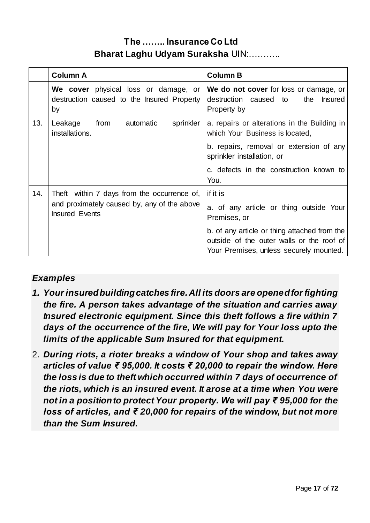|     | <b>Column A</b>                                                                          | <b>Column B</b>                                                                                                                      |
|-----|------------------------------------------------------------------------------------------|--------------------------------------------------------------------------------------------------------------------------------------|
|     | We cover physical loss or damage, or<br>destruction caused to the Insured Property<br>by | We do not cover for loss or damage, or<br>destruction caused to<br><b>Insured</b><br>the<br>Property by                              |
| 13. | Leakage<br>from<br>automatic<br>sprinkler<br>installations.                              | a. repairs or alterations in the Building in<br>which Your Business is located,                                                      |
|     |                                                                                          | b. repairs, removal or extension of any<br>sprinkler installation, or                                                                |
|     |                                                                                          | c. defects in the construction known to<br>You.                                                                                      |
| 14. | Theft within 7 days from the occurrence of,                                              | if it is                                                                                                                             |
|     | and proximately caused by, any of the above<br><b>Insured Events</b>                     | a. of any article or thing outside Your<br>Premises, or                                                                              |
|     |                                                                                          | b. of any article or thing attached from the<br>outside of the outer walls or the roof of<br>Your Premises, unless securely mounted. |

### *Examples*

- *1. Your insured building catches fire. All its doors are opened for fighting the fire. A person takes advantage of the situation and carries away Insured electronic equipment. Since this theft follows a fire within 7 days of the occurrence of the fire, We will pay for Your loss upto the limits of the applicable Sum Insured for that equipment.*
- 2. *During riots, a rioter breaks a window of Your shop and takes away articles of value ₹ 95,000. It costs ₹ 20,000 to repair the window. Here the loss is due to theft which occurred within 7 days of occurrence of the riots, which is an insured event. It arose at a time when You were not in a position to protect Your property. We will pay ₹ 95,000 for the loss of articles, and ₹ 20,000 for repairs of the window, but not more than the Sum Insured.*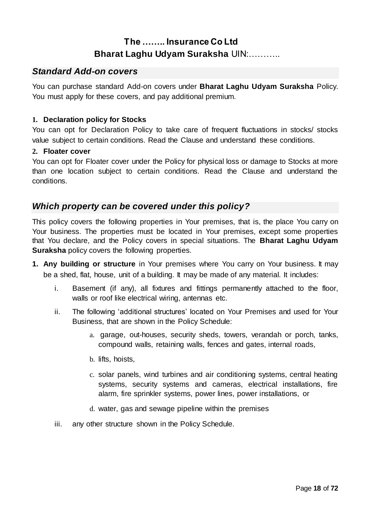### *Standard Add-on covers*

You can purchase standard Add-on covers under **Bharat Laghu Udyam Suraksha** Policy. You must apply for these covers, and pay additional premium.

#### **1. Declaration policy for Stocks**

You can opt for Declaration Policy to take care of frequent fluctuations in stocks/ stocks value subject to certain conditions. Read the Clause and understand these conditions.

#### **2. Floater cover**

You can opt for Floater cover under the Policy for physical loss or damage to Stocks at more than one location subject to certain conditions. Read the Clause and understand the conditions.

#### *Which property can be covered under this policy?*

This policy covers the following properties in Your premises, that is, the place You carry on Your business. The properties must be located in Your premises, except some properties that You declare, and the Policy covers in special situations. The **Bharat Laghu Udyam Suraksha** policy covers the following properties.

- **1. Any building or structure** in Your premises where You carry on Your business. It may be a shed, flat, house, unit of a building. It may be made of any material. It includes:
	- i. Basement (if any), all fixtures and fittings permanently attached to the floor, walls or roof like electrical wiring, antennas etc.
	- ii. The following 'additional structures' located on Your Premises and used for Your Business, that are shown in the Policy Schedule:
		- a. garage, out-houses, security sheds, towers, verandah or porch, tanks, compound walls, retaining walls, fences and gates, internal roads,
		- b. lifts, hoists,
		- c. solar panels, wind turbines and air conditioning systems, central heating systems, security systems and cameras, electrical installations, fire alarm, fire sprinkler systems, power lines, power installations, or
		- d. water, gas and sewage pipeline within the premises
	- iii. any other structure shown in the Policy Schedule.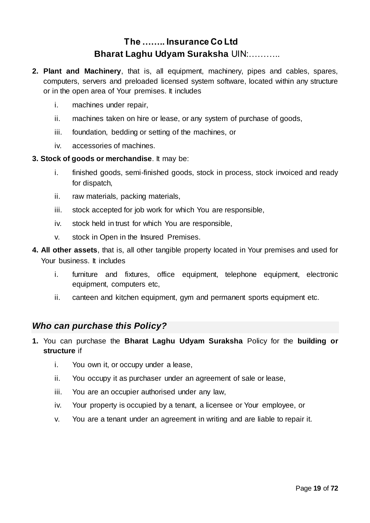- **2. Plant and Machinery**, that is, all equipment, machinery, pipes and cables, spares, computers, servers and preloaded licensed system software, located within any structure or in the open area of Your premises. It includes
	- i. machines under repair,
	- ii. machines taken on hire or lease, or any system of purchase of goods,
	- iii. foundation, bedding or setting of the machines, or
	- iv. accessories of machines.

#### **3. Stock of goods or merchandise**. It may be:

- i. finished goods, semi-finished goods, stock in process, stock invoiced and ready for dispatch,
- ii. raw materials, packing materials,
- iii. stock accepted for job work for which You are responsible,
- iv. stock held in trust for which You are responsible,
- v. stock in Open in the Insured Premises.
- **4. All other assets**, that is, all other tangible property located in Your premises and used for Your business. It includes
	- i. furniture and fixtures, office equipment, telephone equipment, electronic equipment, computers etc,
	- ii. canteen and kitchen equipment, gym and permanent sports equipment etc.

### *Who can purchase this Policy?*

- **1.** You can purchase the **Bharat Laghu Udyam Suraksha** Policy for the **building or structure** if
	- i. You own it, or occupy under a lease,
	- ii. You occupy it as purchaser under an agreement of sale or lease,
	- iii. You are an occupier authorised under any law,
	- iv. Your property is occupied by a tenant, a licensee or Your employee, or
	- v. You are a tenant under an agreement in writing and are liable to repair it.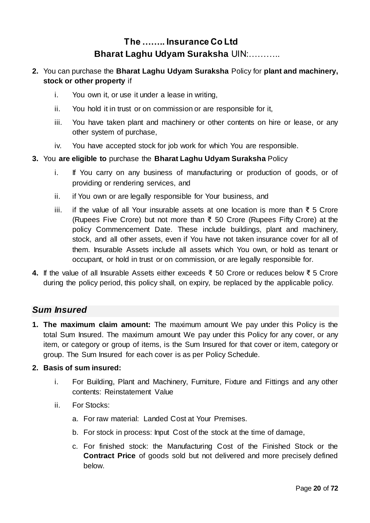#### **2.** You can purchase the **Bharat Laghu Udyam Suraksha** Policy for **plant and machinery, stock or other property** if

- i. You own it, or use it under a lease in writing,
- ii. You hold it in trust or on commission or are responsible for it,
- iii. You have taken plant and machinery or other contents on hire or lease, or any other system of purchase,
- iv. You have accepted stock for job work for which You are responsible.

#### **3.** You **are eligible to** purchase the **Bharat Laghu Udyam Suraksha** Policy

- i. If You carry on any business of manufacturing or production of goods, or of providing or rendering services, and
- ii. if You own or are legally responsible for Your business, and
- iii. if the value of all Your insurable assets at one location is more than ₹ 5 Crore (Rupees Five Crore) but not more than ₹ 50 Crore (Rupees Fifty Crore) at the policy Commencement Date. These include buildings, plant and machinery, stock, and all other assets, even if You have not taken insurance cover for all of them. Insurable Assets include all assets which You own, or hold as tenant or occupant, or hold in trust or on commission, or are legally responsible for.
- **4.** If the value of all Insurable Assets either exceeds ₹ 50 Crore or reduces below ₹ 5 Crore during the policy period, this policy shall, on expiry, be replaced by the applicable policy.

#### *Sum Insured*

**1. The maximum claim amount:** The maximum amount We pay under this Policy is the total Sum Insured. The maximum amount We pay under this Policy for any cover, or any item, or category or group of items, is the Sum Insured for that cover or item, category or group. The Sum Insured for each cover is as per Policy Schedule.

#### **2. Basis of sum insured:**

- i. For Building, Plant and Machinery, Furniture, Fixture and Fittings and any other contents: Reinstatement Value
- ii. For Stocks:
	- a. For raw material: Landed Cost at Your Premises.
	- b. For stock in process: Input Cost of the stock at the time of damage,
	- c. For finished stock: the Manufacturing Cost of the Finished Stock or the **Contract Price** of goods sold but not delivered and more precisely defined below.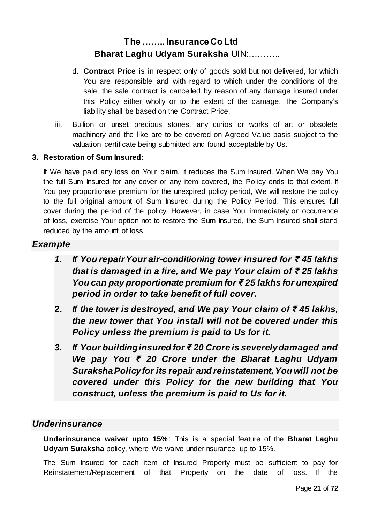- d. **Contract Price** is in respect only of goods sold but not delivered, for which You are responsible and with regard to which under the conditions of the sale, the sale contract is cancelled by reason of any damage insured under this Policy either wholly or to the extent of the damage. The Company's liability shall be based on the Contract Price.
- iii. Bullion or unset precious stones, any curios or works of art or obsolete machinery and the like are to be covered on Agreed Value basis subject to the valuation certificate being submitted and found acceptable by Us.

#### **3. Restoration of Sum Insured:**

If We have paid any loss on Your claim, it reduces the Sum Insured. When We pay You the full Sum Insured for any cover or any item covered, the Policy ends to that extent. If You pay proportionate premium for the unexpired policy period, We will restore the policy to the full original amount of Sum Insured during the Policy Period. This ensures full cover during the period of the policy. However, in case You, immediately on occurrence of loss, exercise Your option not to restore the Sum Insured, the Sum Insured shall stand reduced by the amount of loss.

### *Example*

- *1. If You repair Your air-conditioning tower insured for ₹ 45 lakhs that is damaged in a fire, and We pay Your claim of ₹ 25 lakhs You can pay proportionate premium for ₹ 25 lakhs for unexpired period in order to take benefit of full cover.*
- **2.** *If the tower is destroyed, and We pay Your claim of ₹ 45 lakhs, the new tower that You install will not be covered under this Policy unless the premium is paid to Us for it.*
- *3. If Your building insured for ₹ 20 Crore is severely damaged and We pay You ₹ 20 Crore under the Bharat Laghu Udyam Suraksha Policy for its repair and reinstatement, You will not be covered under this Policy for the new building that You construct, unless the premium is paid to Us for it.*

#### *Underinsurance*

**Underinsurance waiver upto 15%** : This is a special feature of the **Bharat Laghu Udyam Suraksha** policy, where We waive underinsurance up to 15%.

The Sum Insured for each item of Insured Property must be sufficient to pay for Reinstatement/Replacement of that Property on the date of loss. If the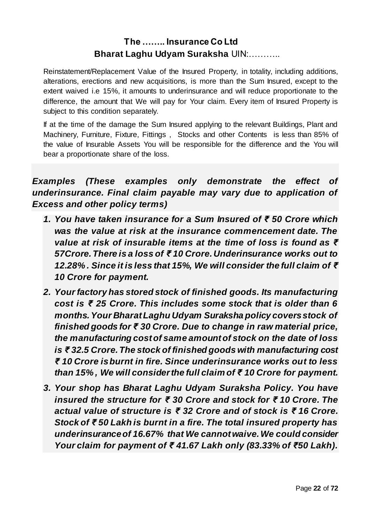Reinstatement/Replacement Value of the Insured Property, in totality, including additions, alterations, erections and new acquisitions, is more than the Sum Insured, except to the extent waived i.e 15%, it amounts to underinsurance and will reduce proportionate to the difference, the amount that We will pay for Your claim. Every item of Insured Property is subject to this condition separately.

If at the time of the damage the Sum Insured applying to the relevant Buildings, Plant and Machinery, Furniture, Fixture, Fittings , Stocks and other Contents is less than 85% of the value of Insurable Assets You will be responsible for the difference and the You will bear a proportionate share of the loss.

*Examples (These examples only demonstrate the effect of underinsurance. Final claim payable may vary due to application of Excess and other policy terms)*

- *1. You have taken insurance for a Sum Insured of ₹ 50 Crore which was the value at risk at the insurance commencement date. The value at risk of insurable items at the time of loss is found as ₹ 57Crore. There is a loss of ₹ 10 Crore. Underinsurance works out to 12.28% . Since it is less that 15%, We will consider the full claim of ₹ 10 Crore for payment.*
- *2. Your factory has stored stock of finished goods. Its manufacturing cost is ₹ 25 Crore. This includes some stock that is older than 6 months. Your Bharat Laghu Udyam Suraksha policy covers stock of finished goods for ₹ 30 Crore. Due to change in raw material price, the manufacturing cost of same amount of stock on the date of loss is ₹ 32.5 Crore. The stock of finished goods with manufacturing cost ₹ 10 Crore is burnt in fire. Since underinsurance works out to less than 15% , We will consider the full claim of ₹ 10 Crore for payment.*
- *3. Your shop has Bharat Laghu Udyam Suraksha Policy. You have insured the structure for ₹ 30 Crore and stock for ₹ 10 Crore. The actual value of structure is ₹ 32 Crore and of stock is ₹ 16 Crore. Stock of ₹ 50 Lakh is burnt in a fire. The total insured property has underinsurance of 16.67% that We cannot waive. We could consider Your claim for payment of ₹ 41.67 Lakh only (83.33% of ₹50 Lakh).*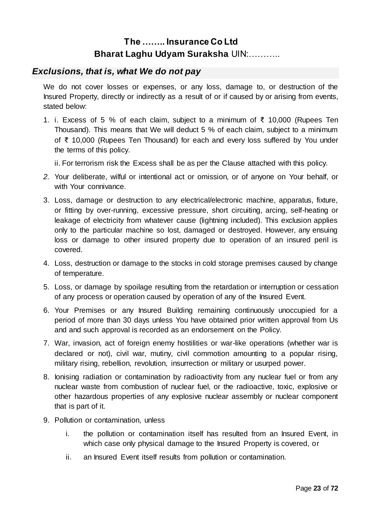### *Exclusions, that is, what We do not pay*

We do not cover losses or expenses, or any loss, damage to, or destruction of the Insured Property, directly or indirectly as a result of or if caused by or arising from events, stated below:

1. i. Excess of 5 % of each claim, subject to a minimum of ₹ 10,000 (Rupees Ten Thousand). This means that We will deduct 5 % of each claim, subject to a minimum of ₹ 10,000 (Rupees Ten Thousand) for each and every loss suffered by You under the terms of this policy.

ii. For terrorism risk the Excess shall be as per the Clause attached with this policy.

- *2.* Your deliberate, wilful or intentional act or omission, or of anyone on Your behalf, or with Your connivance.
- 3. Loss, damage or destruction to any electrical/electronic machine, apparatus, fixture, or fitting by over-running, excessive pressure, short circuiting, arcing, self-heating or leakage of electricity from whatever cause (lightning included). This exclusion applies only to the particular machine so lost, damaged or destroyed. However, any ensuing loss or damage to other insured property due to operation of an insured peril is covered.
- 4. Loss, destruction or damage to the stocks in cold storage premises caused by change of temperature.
- 5. Loss, or damage by spoilage resulting from the retardation or interruption or cessation of any process or operation caused by operation of any of the Insured Event.
- 6. Your Premises or any Insured Building remaining continuously unoccupied for a period of more than 30 days unless You have obtained prior written approval from Us and and such approval is recorded as an endorsement on the Policy.
- 7. War, invasion, act of foreign enemy hostilities or war-like operations (whether war is declared or not), civil war, mutiny, civil commotion amounting to a popular rising, military rising, rebellion, revolution, insurrection or military or usurped power.
- 8. Ionising radiation or contamination by radioactivity from any nuclear fuel or from any nuclear waste from combustion of nuclear fuel, or the radioactive, toxic, explosive or other hazardous properties of any explosive nuclear assembly or nuclear component that is part of it.
- 9. Pollution or contamination, unless
	- i. the pollution or contamination itself has resulted from an Insured Event, in which case only physical damage to the Insured Property is covered, or
	- ii. an Insured Event itself results from pollution or contamination.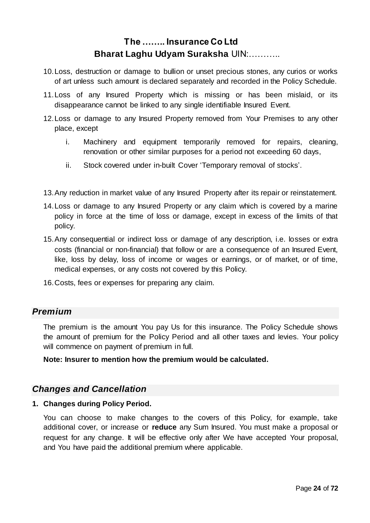- 10.Loss, destruction or damage to bullion or unset precious stones, any curios or works of art unless such amount is declared separately and recorded in the Policy Schedule.
- 11.Loss of any Insured Property which is missing or has been mislaid, or its disappearance cannot be linked to any single identifiable Insured Event.
- 12.Loss or damage to any Insured Property removed from Your Premises to any other place, except
	- i. Machinery and equipment temporarily removed for repairs, cleaning, renovation or other similar purposes for a period not exceeding 60 days,
	- ii. Stock covered under in-built Cover 'Temporary removal of stocks'.
- 13.Any reduction in market value of any Insured Property after its repair or reinstatement.
- 14.Loss or damage to any Insured Property or any claim which is covered by a marine policy in force at the time of loss or damage, except in excess of the limits of that policy.
- 15.Any consequential or indirect loss or damage of any description, i.e. losses or extra costs (financial or non-financial) that follow or are a consequence of an Insured Event, like, loss by delay, loss of income or wages or earnings, or of market, or of time, medical expenses, or any costs not covered by this Policy.
- 16.Costs, fees or expenses for preparing any claim.

#### *Premium*

The premium is the amount You pay Us for this insurance. The Policy Schedule shows the amount of premium for the Policy Period and all other taxes and levies. Your policy will commence on payment of premium in full.

**Note: Insurer to mention how the premium would be calculated.**

### *Changes and Cancellation*

#### **1. Changes during Policy Period.**

You can choose to make changes to the covers of this Policy, for example, take additional cover, or increase or **reduce** any Sum Insured. You must make a proposal or request for any change. It will be effective only after We have accepted Your proposal, and You have paid the additional premium where applicable.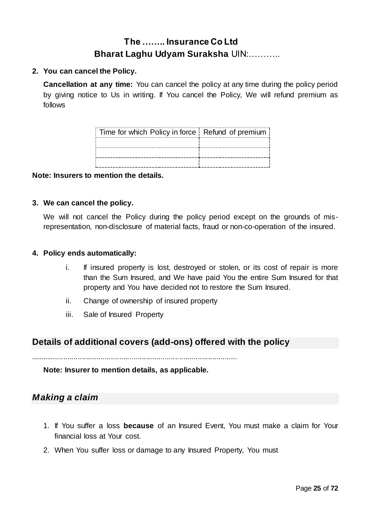#### **2. You can cancel the Policy.**

**Cancellation at any time:** You can cancel the policy at any time during the policy period by giving notice to Us in writing. If You cancel the Policy, We will refund premium as follows

| Time for which Policy in force Refund of premium |  |
|--------------------------------------------------|--|
|                                                  |  |
|                                                  |  |
|                                                  |  |

#### **Note: Insurers to mention the details.**

#### **3. We can cancel the policy.**

We will not cancel the Policy during the policy period except on the grounds of misrepresentation, non-disclosure of material facts, fraud or non-co-operation of the insured.

#### **4. Policy ends automatically:**

- i. If insured property is lost, destroyed or stolen, or its cost of repair is more than the Sum Insured, and We have paid You the entire Sum Insured for that property and You have decided not to restore the Sum Insured.
- ii. Change of ownership of insured property

....................................................................................................

iii. Sale of Insured Property

### **Details of additional covers (add-ons) offered with the policy**

**Note: Insurer to mention details, as applicable.**

### *Making a claim*

- 1. If You suffer a loss **because** of an Insured Event, You must make a claim for Your financial loss at Your cost.
- 2. When You suffer loss or damage to any Insured Property, You must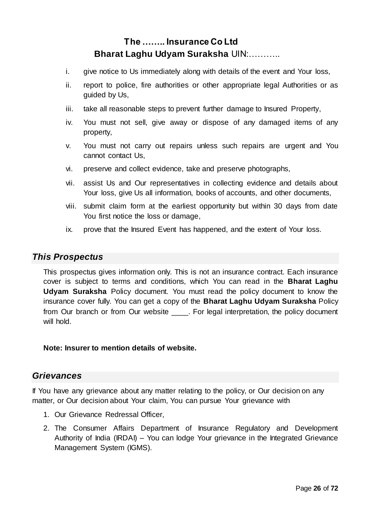- i. give notice to Us immediately along with details of the event and Your loss,
- ii. report to police, fire authorities or other appropriate legal Authorities or as guided by Us,
- iii. take all reasonable steps to prevent further damage to Insured Property,
- iv. You must not sell, give away or dispose of any damaged items of any property,
- v. You must not carry out repairs unless such repairs are urgent and You cannot contact Us,
- vi. preserve and collect evidence, take and preserve photographs,
- vii. assist Us and Our representatives in collecting evidence and details about Your loss, give Us all information, books of accounts, and other documents,
- viii. submit claim form at the earliest opportunity but within 30 days from date You first notice the loss or damage,
- ix. prove that the Insured Event has happened, and the extent of Your loss.

#### *This Prospectus*

This prospectus gives information only. This is not an insurance contract. Each insurance cover is subject to terms and conditions, which You can read in the **Bharat Laghu Udyam Suraksha** Policy document. You must read the policy document to know the insurance cover fully. You can get a copy of the **Bharat Laghu Udyam Suraksha** Policy from Our branch or from Our website \_\_\_\_. For legal interpretation, the policy document will hold.

#### **Note: Insurer to mention details of website.**

#### *Grievances*

If You have any grievance about any matter relating to the policy, or Our decision on any matter, or Our decision about Your claim, You can pursue Your grievance with

- 1. Our Grievance Redressal Officer,
- 2. The Consumer Affairs Department of Insurance Regulatory and Development Authority of India (IRDAI) – You can lodge Your grievance in the Integrated Grievance Management System (IGMS).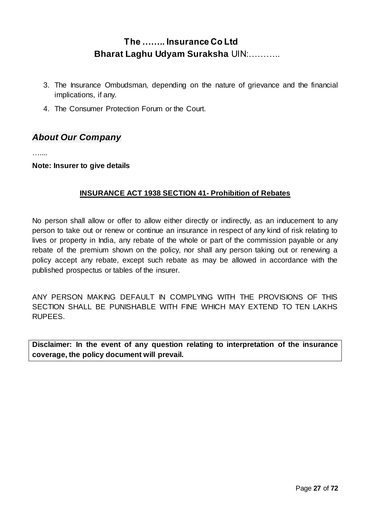- 3. The Insurance Ombudsman, depending on the nature of grievance and the financial implications, if any.
- 4. The Consumer Protection Forum or the Court.

### *About Our Company*

……

#### **Note: Insurer to give details**

#### **INSURANCE ACT 1938 SECTION 41- Prohibition of Rebates**

No person shall allow or offer to allow either directly or indirectly, as an inducement to any person to take out or renew or continue an insurance in respect of any kind of risk relating to lives or property in India, any rebate of the whole or part of the commission payable or any rebate of the premium shown on the policy, nor shall any person taking out or renewing a policy accept any rebate, except such rebate as may be allowed in accordance with the published prospectus or tables of the insurer.

ANY PERSON MAKING DEFAULT IN COMPLYING WITH THE PROVISIONS OF THIS SECTION SHALL BE PUNISHABLE WITH FINE WHICH MAY EXTEND TO TEN LAKHS RUPEES.

**Disclaimer: In the event of any question relating to interpretation of the insurance coverage, the policy document will prevail.**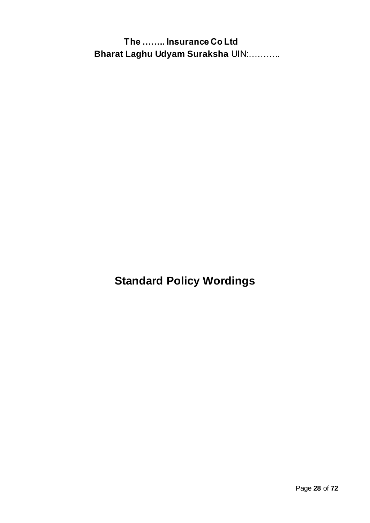**Standard Policy Wordings**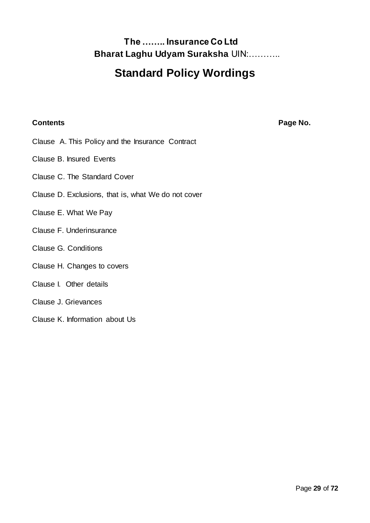# **Standard Policy Wordings**

#### **Contents Page No.**

- Clause A. This Policy and the Insurance Contract
- Clause B. Insured Events
- Clause C. The Standard Cover
- Clause D. Exclusions, that is, what We do not cover
- Clause E. What We Pay
- Clause F. Underinsurance
- Clause G. Conditions
- Clause H. Changes to covers

#### Clause I. Other details

- Clause J. Grievances
- Clause K. Information about Us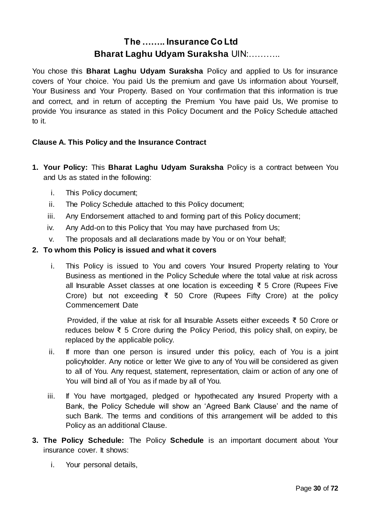You chose this **Bharat Laghu Udyam Suraksha** Policy and applied to Us for insurance covers of Your choice. You paid Us the premium and gave Us information about Yourself, Your Business and Your Property. Based on Your confirmation that this information is true and correct, and in return of accepting the Premium You have paid Us, We promise to provide You insurance as stated in this Policy Document and the Policy Schedule attached to it.

#### **Clause A. This Policy and the Insurance Contract**

- **1. Your Policy:** This **Bharat Laghu Udyam Suraksha** Policy is a contract between You and Us as stated in the following:
	- i. This Policy document;
	- ii. The Policy Schedule attached to this Policy document;
	- iii. Any Endorsement attached to and forming part of this Policy document;
	- iv. Any Add-on to this Policy that You may have purchased from Us;
	- v. The proposals and all declarations made by You or on Your behalf;

#### **2. To whom this Policy is issued and what it covers**

i. This Policy is issued to You and covers Your Insured Property relating to Your Business as mentioned in the Policy Schedule where the total value at risk across all Insurable Asset classes at one location is exceeding ₹ 5 Crore (Rupees Five Crore) but not exceeding ₹ 50 Crore (Rupees Fifty Crore) at the policy Commencement Date

Provided, if the value at risk for all Insurable Assets either exceeds ₹ 50 Crore or reduces below ₹ 5 Crore during the Policy Period, this policy shall, on expiry, be replaced by the applicable policy.

- ii. If more than one person is insured under this policy, each of You is a joint policyholder. Any notice or letter We give to any of You will be considered as given to all of You. Any request, statement, representation, claim or action of any one of You will bind all of You as if made by all of You.
- iii. If You have mortgaged, pledged or hypothecated any Insured Property with a Bank, the Policy Schedule will show an 'Agreed Bank Clause' and the name of such Bank. The terms and conditions of this arrangement will be added to this Policy as an additional Clause.
- **3. The Policy Schedule:** The Policy **Schedule** is an important document about Your insurance cover. It shows:
	- i. Your personal details,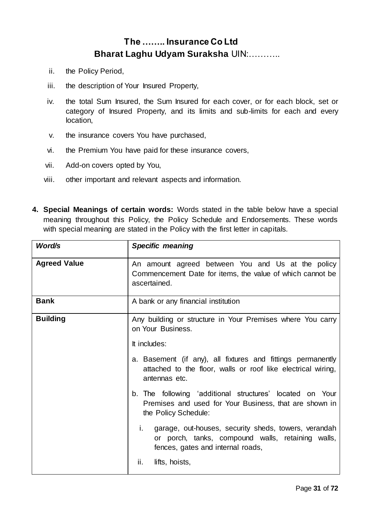- ii. the Policy Period,
- iii. the description of Your Insured Property,
- iv. the total Sum Insured, the Sum Insured for each cover, or for each block, set or category of Insured Property, and its limits and sub-limits for each and every location,
- v. the insurance covers You have purchased,
- vi. the Premium You have paid for these insurance covers,
- vii. Add-on covers opted by You,
- viii. other important and relevant aspects and information.
- **4. Special Meanings of certain words:** Words stated in the table below have a special meaning throughout this Policy, the Policy Schedule and Endorsements. These words with special meaning are stated in the Policy with the first letter in capitals.

| Word/s              | <b>Specific meaning</b>                                                                                                                              |  |
|---------------------|------------------------------------------------------------------------------------------------------------------------------------------------------|--|
| <b>Agreed Value</b> | An amount agreed between You and Us at the policy<br>Commencement Date for items, the value of which cannot be<br>ascertained.                       |  |
| <b>Bank</b>         | A bank or any financial institution                                                                                                                  |  |
| <b>Building</b>     | Any building or structure in Your Premises where You carry<br>on Your Business.                                                                      |  |
|                     | It includes:                                                                                                                                         |  |
|                     | a. Basement (if any), all fixtures and fittings permanently<br>attached to the floor, walls or roof like electrical wiring,<br>antennas etc.         |  |
|                     | b. The following 'additional structures' located on Your<br>Premises and used for Your Business, that are shown in<br>the Policy Schedule:           |  |
|                     | i.<br>garage, out-houses, security sheds, towers, verandah<br>or porch, tanks, compound walls, retaining walls,<br>fences, gates and internal roads, |  |
|                     | ii.<br>lifts, hoists,                                                                                                                                |  |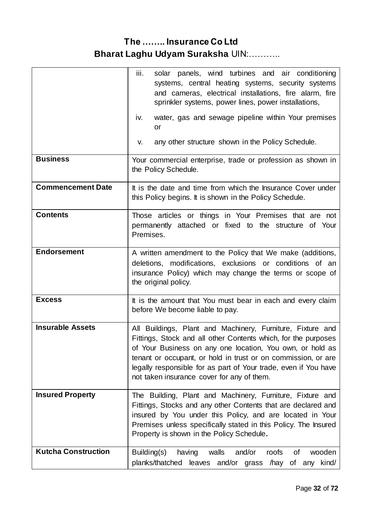|                            | iii.<br>solar panels, wind turbines and air conditioning<br>systems, central heating systems, security systems<br>and cameras, electrical installations, fire alarm, fire<br>sprinkler systems, power lines, power installations,<br>water, gas and sewage pipeline within Your premises<br>iv.                                                                             |  |
|----------------------------|-----------------------------------------------------------------------------------------------------------------------------------------------------------------------------------------------------------------------------------------------------------------------------------------------------------------------------------------------------------------------------|--|
|                            | or                                                                                                                                                                                                                                                                                                                                                                          |  |
|                            | any other structure shown in the Policy Schedule.<br>V.                                                                                                                                                                                                                                                                                                                     |  |
| <b>Business</b>            | Your commercial enterprise, trade or profession as shown in<br>the Policy Schedule.                                                                                                                                                                                                                                                                                         |  |
| <b>Commencement Date</b>   | It is the date and time from which the Insurance Cover under<br>this Policy begins. It is shown in the Policy Schedule.                                                                                                                                                                                                                                                     |  |
| <b>Contents</b>            | Those articles or things in Your Premises that are not<br>permanently attached or fixed to the structure of Your<br>Premises.                                                                                                                                                                                                                                               |  |
| <b>Endorsement</b>         | A written amendment to the Policy that We make (additions,<br>deletions, modifications, exclusions or conditions of an<br>insurance Policy) which may change the terms or scope of<br>the original policy.                                                                                                                                                                  |  |
| <b>Excess</b>              | It is the amount that You must bear in each and every claim<br>before We become liable to pay.                                                                                                                                                                                                                                                                              |  |
| <b>Insurable Assets</b>    | All Buildings, Plant and Machinery, Furniture, Fixture and<br>Fittings, Stock and all other Contents which, for the purposes<br>of Your Business on any one location, You own, or hold as<br>tenant or occupant, or hold in trust or on commission, or are<br>legally responsible for as part of Your trade, even if You have<br>not taken insurance cover for any of them. |  |
| <b>Insured Property</b>    | The Building, Plant and Machinery, Furniture, Fixture and<br>Fittings, Stocks and any other Contents that are declared and<br>insured by You under this Policy, and are located in Your<br>Premises unless specifically stated in this Policy. The Insured<br>Property is shown in the Policy Schedule.                                                                     |  |
| <b>Kutcha Construction</b> | Building(s)<br>and/or<br>walls<br>roofs<br>0f<br>wooden<br>having<br>planks/thatched leaves and/or grass /hay<br>any kind/<br>of                                                                                                                                                                                                                                            |  |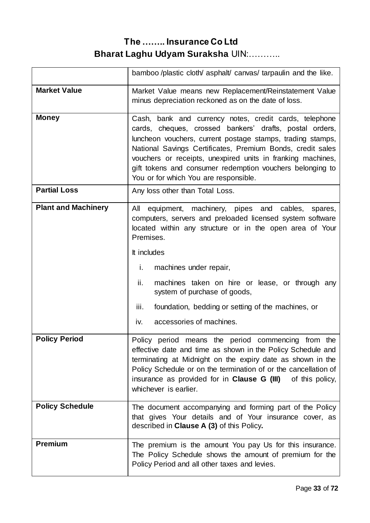|                            | bamboo /plastic cloth/ asphalt/ canvas/ tarpaulin and the like.                                                                                                                                                                                                                                                                                                                                                    |  |
|----------------------------|--------------------------------------------------------------------------------------------------------------------------------------------------------------------------------------------------------------------------------------------------------------------------------------------------------------------------------------------------------------------------------------------------------------------|--|
| <b>Market Value</b>        | Market Value means new Replacement/Reinstatement Value<br>minus depreciation reckoned as on the date of loss.                                                                                                                                                                                                                                                                                                      |  |
| <b>Money</b>               | Cash, bank and currency notes, credit cards, telephone<br>cards, cheques, crossed bankers' drafts, postal orders,<br>luncheon vouchers, current postage stamps, trading stamps,<br>National Savings Certificates, Premium Bonds, credit sales<br>vouchers or receipts, unexpired units in franking machines,<br>gift tokens and consumer redemption vouchers belonging to<br>You or for which You are responsible. |  |
| <b>Partial Loss</b>        | Any loss other than Total Loss.                                                                                                                                                                                                                                                                                                                                                                                    |  |
| <b>Plant and Machinery</b> | equipment, machinery, pipes and cables,<br>All<br>spares,<br>computers, servers and preloaded licensed system software<br>located within any structure or in the open area of Your<br>Premises.                                                                                                                                                                                                                    |  |
|                            | It includes                                                                                                                                                                                                                                                                                                                                                                                                        |  |
|                            | machines under repair,<br>i.                                                                                                                                                                                                                                                                                                                                                                                       |  |
|                            | ii.<br>machines taken on hire or lease, or through any<br>system of purchase of goods,                                                                                                                                                                                                                                                                                                                             |  |
|                            | iii.<br>foundation, bedding or setting of the machines, or                                                                                                                                                                                                                                                                                                                                                         |  |
|                            | accessories of machines.<br>iv.                                                                                                                                                                                                                                                                                                                                                                                    |  |
| <b>Policy Period</b>       | Policy period means the period commencing from the<br>effective date and time as shown in the Policy Schedule and<br>terminating at Midnight on the expiry date as shown in the<br>Policy Schedule or on the termination of or the cancellation of<br>insurance as provided for in <b>Clause G (III)</b><br>of this policy,<br>whichever is earlier.                                                               |  |
| <b>Policy Schedule</b>     | The document accompanying and forming part of the Policy<br>that gives Your details and of Your insurance cover, as<br>described in Clause A (3) of this Policy.                                                                                                                                                                                                                                                   |  |
| <b>Premium</b>             | The premium is the amount You pay Us for this insurance.<br>The Policy Schedule shows the amount of premium for the<br>Policy Period and all other taxes and levies.                                                                                                                                                                                                                                               |  |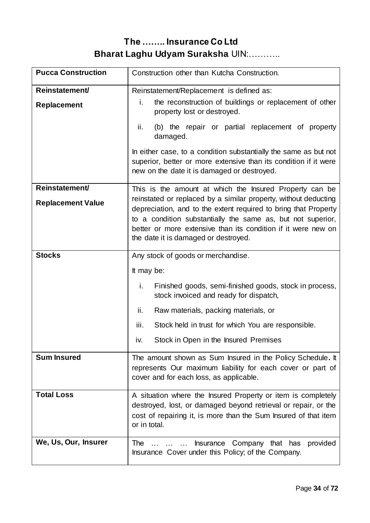| <b>Pucca Construction</b> | Construction other than Kutcha Construction.                                                                                                                                                                                                                                                               |  |
|---------------------------|------------------------------------------------------------------------------------------------------------------------------------------------------------------------------------------------------------------------------------------------------------------------------------------------------------|--|
| Reinstatement/            | Reinstatement/Replacement is defined as:                                                                                                                                                                                                                                                                   |  |
| <b>Replacement</b>        | the reconstruction of buildings or replacement of other<br>i.<br>property lost or destroyed.                                                                                                                                                                                                               |  |
|                           | ii.<br>(b) the repair or partial replacement of property<br>damaged.                                                                                                                                                                                                                                       |  |
|                           | In either case, to a condition substantially the same as but not<br>superior, better or more extensive than its condition if it were<br>new on the date it is damaged or destroyed.                                                                                                                        |  |
| Reinstatement/            | This is the amount at which the Insured Property can be                                                                                                                                                                                                                                                    |  |
| <b>Replacement Value</b>  | reinstated or replaced by a similar property, without deducting<br>depreciation, and to the extent required to bring that Property<br>to a condition substantially the same as, but not superior,<br>better or more extensive than its condition if it were new on<br>the date it is damaged or destroyed. |  |
| <b>Stocks</b>             | Any stock of goods or merchandise.                                                                                                                                                                                                                                                                         |  |
|                           | It may be:                                                                                                                                                                                                                                                                                                 |  |
|                           | i.<br>Finished goods, semi-finished goods, stock in process,<br>stock invoiced and ready for dispatch,                                                                                                                                                                                                     |  |
|                           | ii.<br>Raw materials, packing materials, or                                                                                                                                                                                                                                                                |  |
|                           | iii.<br>Stock held in trust for which You are responsible.                                                                                                                                                                                                                                                 |  |
|                           | Stock in Open in the Insured Premises<br>iv.                                                                                                                                                                                                                                                               |  |
| <b>Sum Insured</b>        | The amount shown as Sum Insured in the Policy Schedule. It<br>represents Our maximum liability for each cover or part of<br>cover and for each loss, as applicable.                                                                                                                                        |  |
| <b>Total Loss</b>         | A situation where the Insured Property or item is completely<br>destroyed, lost, or damaged beyond retrieval or repair, or the                                                                                                                                                                             |  |
|                           | cost of repairing it, is more than the Sum Insured of that item<br>or in total.                                                                                                                                                                                                                            |  |
| We, Us, Our, Insurer      | Company that has<br>The<br><b>Insurance</b><br>provided<br>Insurance Cover under this Policy; of the Company.                                                                                                                                                                                              |  |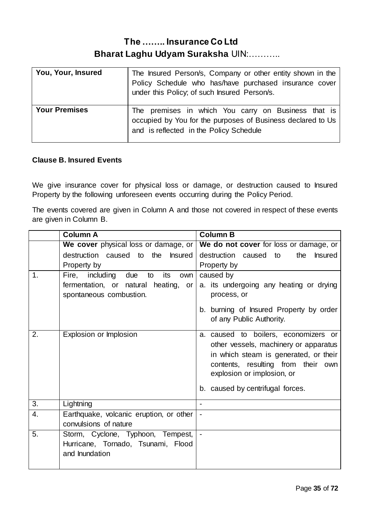| You, Your, Insured   | The Insured Person/s, Company or other entity shown in the<br>Policy Schedule who has/have purchased insurance cover<br>under this Policy; of such Insured Person/s. |
|----------------------|----------------------------------------------------------------------------------------------------------------------------------------------------------------------|
| <b>Your Premises</b> | The premises in which You carry on Business that is<br>occupied by You for the purposes of Business declared to Us<br>and is reflected in the Policy Schedule        |

#### **Clause B. Insured Events**

We give insurance cover for physical loss or damage, or destruction caused to Insured Property by the following unforeseen events occurring during the Policy Period.

The events covered are given in Column A and those not covered in respect of these events are given in Column B.

|    | <b>Column A</b>                             | <b>Column B</b>                                |  |
|----|---------------------------------------------|------------------------------------------------|--|
|    | We cover physical loss or damage, or        | We do not cover for loss or damage, or         |  |
|    | destruction caused to the<br><b>Insured</b> | destruction caused to<br>the<br><b>Insured</b> |  |
|    | Property by                                 | Property by                                    |  |
| 1. | Fire, including<br>due<br>its<br>to<br>own  | caused by                                      |  |
|    | fermentation, or natural heating, or        | a. its undergoing any heating or drying        |  |
|    | spontaneous combustion.                     | process, or                                    |  |
|    |                                             | b. burning of Insured Property by order        |  |
|    |                                             | of any Public Authority.                       |  |
| 2. | Explosion or Implosion                      | a. caused to boilers, economizers or           |  |
|    |                                             | other vessels, machinery or apparatus          |  |
|    |                                             | in which steam is generated, or their          |  |
|    |                                             | contents, resulting from their own             |  |
|    |                                             | explosion or implosion, or                     |  |
|    |                                             | b. caused by centrifugal forces.               |  |
|    |                                             |                                                |  |
| 3. | Lightning                                   |                                                |  |
| 4. | Earthquake, volcanic eruption, or other     |                                                |  |
|    | convulsions of nature                       |                                                |  |
| 5. | Storm, Cyclone, Typhoon, Tempest,           | ÷,                                             |  |
|    | Hurricane, Tornado, Tsunami, Flood          |                                                |  |
|    | and Inundation                              |                                                |  |
|    |                                             |                                                |  |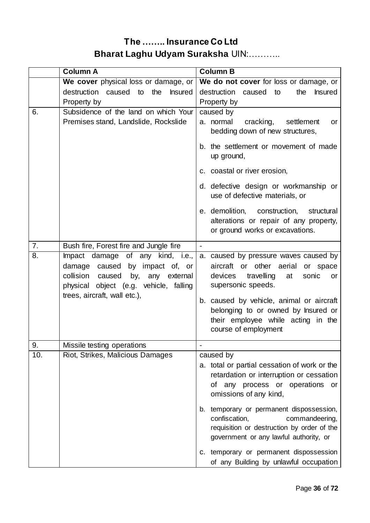| We cover physical loss or damage, or<br>destruction caused to<br>the<br>destruction caused to<br><b>Insured</b><br>Property by<br>Property by<br>Subsidence of the land on which Your<br>6.<br>caused by<br>Premises stand, Landslide, Rockslide<br>a. normal<br>up ground,<br>c. coastal or river erosion, | We do not cover for loss or damage, or<br>the<br><b>Insured</b><br>cracking,<br>settlement<br>or<br>bedding down of new structures,<br>b. the settlement or movement of made<br>d. defective design or workmanship or<br>use of defective materials, or                                                                                                                |
|-------------------------------------------------------------------------------------------------------------------------------------------------------------------------------------------------------------------------------------------------------------------------------------------------------------|------------------------------------------------------------------------------------------------------------------------------------------------------------------------------------------------------------------------------------------------------------------------------------------------------------------------------------------------------------------------|
|                                                                                                                                                                                                                                                                                                             |                                                                                                                                                                                                                                                                                                                                                                        |
|                                                                                                                                                                                                                                                                                                             |                                                                                                                                                                                                                                                                                                                                                                        |
|                                                                                                                                                                                                                                                                                                             |                                                                                                                                                                                                                                                                                                                                                                        |
|                                                                                                                                                                                                                                                                                                             |                                                                                                                                                                                                                                                                                                                                                                        |
|                                                                                                                                                                                                                                                                                                             |                                                                                                                                                                                                                                                                                                                                                                        |
|                                                                                                                                                                                                                                                                                                             |                                                                                                                                                                                                                                                                                                                                                                        |
| e. demolition, construction,                                                                                                                                                                                                                                                                                | structural<br>alterations or repair of any property,<br>or ground works or excavations.                                                                                                                                                                                                                                                                                |
| Bush fire, Forest fire and Jungle fire<br>7.<br>$\overline{\phantom{a}}$                                                                                                                                                                                                                                    |                                                                                                                                                                                                                                                                                                                                                                        |
| 8.<br>Impact damage of any kind, i.e.,<br>damage caused by impact of, or<br>aircraft or other aerial<br>collision caused<br>by, any external<br>devices<br>supersonic speeds.<br>physical object (e.g. vehicle, falling<br>trees, aircraft, wall etc.),<br>course of employment                             | a. caused by pressure waves caused by<br>or space<br>travelling<br>at<br>sonic<br>or<br>b. caused by vehicle, animal or aircraft<br>belonging to or owned by Insured or<br>their employee while acting in the                                                                                                                                                          |
| Missile testing operations<br>9.                                                                                                                                                                                                                                                                            |                                                                                                                                                                                                                                                                                                                                                                        |
| 10.<br>Riot, Strikes, Malicious Damages<br>caused by<br>omissions of any kind,<br>confiscation,                                                                                                                                                                                                             | a. total or partial cessation of work or the<br>retardation or interruption or cessation<br>of any process or operations or<br>b. temporary or permanent dispossession,<br>commandeering,<br>requisition or destruction by order of the<br>government or any lawful authority, or<br>c. temporary or permanent dispossession<br>of any Building by unlawful occupation |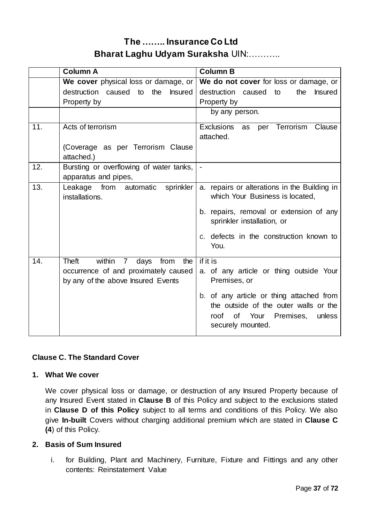|     | <b>Column A</b>                                                                                                     | <b>Column B</b>                                                                                                                                                                                                            |
|-----|---------------------------------------------------------------------------------------------------------------------|----------------------------------------------------------------------------------------------------------------------------------------------------------------------------------------------------------------------------|
|     | We cover physical loss or damage, or                                                                                | We do not cover for loss or damage, or                                                                                                                                                                                     |
|     | destruction caused to the<br><b>Insured</b>                                                                         | destruction caused to<br>the<br><b>Insured</b>                                                                                                                                                                             |
|     | Property by                                                                                                         | Property by                                                                                                                                                                                                                |
|     |                                                                                                                     | by any person.                                                                                                                                                                                                             |
| 11. | Acts of terrorism<br>(Coverage as per Terrorism Clause<br>attached.)                                                | Exclusions as<br>per Terrorism<br>Clause<br>attached.                                                                                                                                                                      |
| 12. | Bursting or overflowing of water tanks,<br>apparatus and pipes,                                                     | $\overline{\phantom{a}}$                                                                                                                                                                                                   |
| 13. | from automatic<br>sprinkler<br>Leakage<br>installations.                                                            | a. repairs or alterations in the Building in<br>which Your Business is located,<br>b. repairs, removal or extension of any<br>sprinkler installation, or<br>c. defects in the construction known to<br>You.                |
| 14. | Theft<br>within 7 days<br>from<br>the<br>occurrence of and proximately caused<br>by any of the above Insured Events | if it is<br>a. of any article or thing outside Your<br>Premises, or<br>b. of any article or thing attached from<br>the outside of the outer walls or the<br>Your<br>Premises,<br>unless<br>roof<br>0f<br>securely mounted. |

### **Clause C. The Standard Cover**

#### **1. What We cover**

We cover physical loss or damage, or destruction of any Insured Property because of any Insured Event stated in **Clause B** of this Policy and subject to the exclusions stated in **Clause D of this Policy** subject to all terms and conditions of this Policy. We also give **In-built** Covers without charging additional premium which are stated in **Clause C (4**) of this Policy.

#### **2. Basis of Sum Insured**

i. for Building, Plant and Machinery, Furniture, Fixture and Fittings and any other contents: Reinstatement Value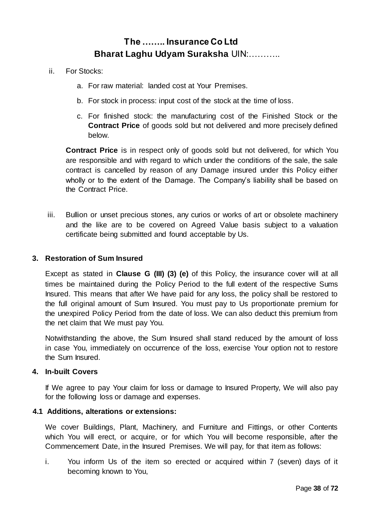- ii. For Stocks:
	- a. For raw material: landed cost at Your Premises.
	- b. For stock in process: input cost of the stock at the time of loss.
	- c. For finished stock: the manufacturing cost of the Finished Stock or the **Contract Price** of goods sold but not delivered and more precisely defined below.

**Contract Price** is in respect only of goods sold but not delivered, for which You are responsible and with regard to which under the conditions of the sale, the sale contract is cancelled by reason of any Damage insured under this Policy either wholly or to the extent of the Damage. The Company's liability shall be based on the Contract Price.

iii. Bullion or unset precious stones, any curios or works of art or obsolete machinery and the like are to be covered on Agreed Value basis subject to a valuation certificate being submitted and found acceptable by Us.

#### **3. Restoration of Sum Insured**

Except as stated in **Clause G (III) (3) (e)** of this Policy, the insurance cover will at all times be maintained during the Policy Period to the full extent of the respective Sums Insured. This means that after We have paid for any loss, the policy shall be restored to the full original amount of Sum Insured. You must pay to Us proportionate premium for the unexpired Policy Period from the date of loss. We can also deduct this premium from the net claim that We must pay You.

Notwithstanding the above, the Sum Insured shall stand reduced by the amount of loss in case You, immediately on occurrence of the loss, exercise Your option not to restore the Sum Insured.

#### **4. In-built Covers**

If We agree to pay Your claim for loss or damage to Insured Property, We will also pay for the following loss or damage and expenses.

#### **4.1 Additions, alterations or extensions:**

We cover Buildings, Plant, Machinery, and Furniture and Fittings, or other Contents which You will erect, or acquire, or for which You will become responsible, after the Commencement Date, in the Insured Premises. We will pay, for that item as follows:

i. You inform Us of the item so erected or acquired within 7 (seven) days of it becoming known to You,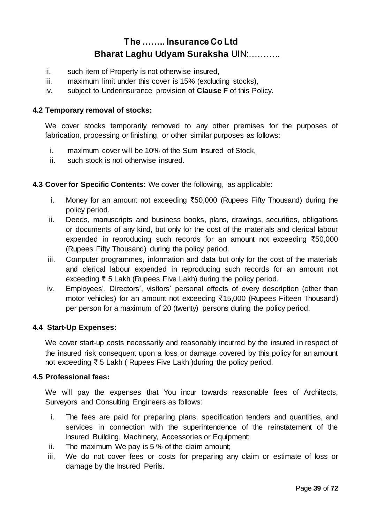- ii. such item of Property is not otherwise insured,
- iii. maximum limit under this cover is 15% (excluding stocks),
- iv. subject to Underinsurance provision of **Clause F** of this Policy.

#### **4.2 Temporary removal of stocks:**

We cover stocks temporarily removed to any other premises for the purposes of fabrication, processing or finishing, or other similar purposes as follows:

- i. maximum cover will be 10% of the Sum Insured of Stock,
- ii. such stock is not otherwise insured.

#### **4.3 Cover for Specific Contents:** We cover the following, as applicable:

- i. Money for an amount not exceeding ₹50,000 (Rupees Fifty Thousand) during the policy period.
- ii. Deeds, manuscripts and business books, plans, drawings, securities, obligations or documents of any kind, but only for the cost of the materials and clerical labour expended in reproducing such records for an amount not exceeding ₹50,000 (Rupees Fifty Thousand) during the policy period.
- iii. Computer programmes, information and data but only for the cost of the materials and clerical labour expended in reproducing such records for an amount not exceeding ₹ 5 Lakh (Rupees Five Lakh) during the policy period.
- iv. Employees', Directors', visitors' personal effects of every description (other than motor vehicles) for an amount not exceeding ₹15,000 (Rupees Fifteen Thousand) per person for a maximum of 20 (twenty) persons during the policy period.

#### **4.4 Start-Up Expenses:**

We cover start-up costs necessarily and reasonably incurred by the insured in respect of the insured risk consequent upon a loss or damage covered by this policy for an amount not exceeding ₹ 5 Lakh ( Rupees Five Lakh )during the policy period.

#### **4.5 Professional fees:**

We will pay the expenses that You incur towards reasonable fees of Architects, Surveyors and Consulting Engineers as follows:

- i. The fees are paid for preparing plans, specification tenders and quantities, and services in connection with the superintendence of the reinstatement of the Insured Building, Machinery, Accessories or Equipment;
- ii. The maximum We pay is 5 % of the claim amount;
- iii. We do not cover fees or costs for preparing any claim or estimate of loss or damage by the Insured Perils.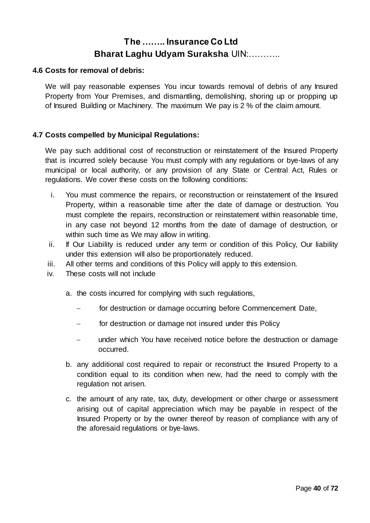#### **4.6 Costs for removal of debris:**

We will pay reasonable expenses You incur towards removal of debris of any Insured Property from Your Premises, and dismantling, demolishing, shoring up or propping up of Insured Building or Machinery. The maximum We pay is 2 % of the claim amount.

#### **4.7 Costs compelled by Municipal Regulations:**

We pay such additional cost of reconstruction or reinstatement of the Insured Property that is incurred solely because You must comply with any regulations or bye-laws of any municipal or local authority, or any provision of any State or Central Act, Rules or regulations. We cover these costs on the following conditions:

- i. You must commence the repairs, or reconstruction or reinstatement of the Insured Property, within a reasonable time after the date of damage or destruction. You must complete the repairs, reconstruction or reinstatement within reasonable time, in any case not beyond 12 months from the date of damage of destruction, or within such time as We may allow in writing.
- ii. If Our Liability is reduced under any term or condition of this Policy, Our liability under this extension will also be proportionately reduced.
- iii. All other terms and conditions of this Policy will apply to this extension.
- iv. These costs will not include
	- a. the costs incurred for complying with such regulations,
		- for destruction or damage occurring before Commencement Date,
		- for destruction or damage not insured under this Policy
		- under which You have received notice before the destruction or damage occurred.
	- b. any additional cost required to repair or reconstruct the Insured Property to a condition equal to its condition when new, had the need to comply with the regulation not arisen.
	- c. the amount of any rate, tax, duty, development or other charge or assessment arising out of capital appreciation which may be payable in respect of the Insured Property or by the owner thereof by reason of compliance with any of the aforesaid regulations or bye-laws.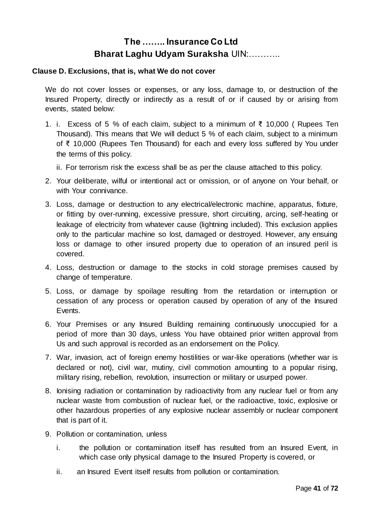#### **Clause D. Exclusions, that is, what We do not cover**

We do not cover losses or expenses, or any loss, damage to, or destruction of the Insured Property, directly or indirectly as a result of or if caused by or arising from events, stated below:

1. i. Excess of 5 % of each claim, subject to a minimum of ₹ 10,000 ( Rupees Ten Thousand). This means that We will deduct 5 % of each claim, subject to a minimum of ₹ 10,000 (Rupees Ten Thousand) for each and every loss suffered by You under the terms of this policy.

ii. For terrorism risk the excess shall be as per the clause attached to this policy.

- 2. Your deliberate, wilful or intentional act or omission, or of anyone on Your behalf, or with Your connivance.
- 3. Loss, damage or destruction to any electrical/electronic machine, apparatus, fixture, or fitting by over-running, excessive pressure, short circuiting, arcing, self-heating or leakage of electricity from whatever cause (lightning included). This exclusion applies only to the particular machine so lost, damaged or destroyed. However, any ensuing loss or damage to other insured property due to operation of an insured peril is covered.
- 4. Loss, destruction or damage to the stocks in cold storage premises caused by change of temperature.
- 5. Loss, or damage by spoilage resulting from the retardation or interruption or cessation of any process or operation caused by operation of any of the Insured Events.
- 6. Your Premises or any Insured Building remaining continuously unoccupied for a period of more than 30 days, unless You have obtained prior written approval from Us and such approval is recorded as an endorsement on the Policy.
- 7. War, invasion, act of foreign enemy hostilities or war-like operations (whether war is declared or not), civil war, mutiny, civil commotion amounting to a popular rising, military rising, rebellion, revolution, insurrection or military or usurped power.
- 8. Ionising radiation or contamination by radioactivity from any nuclear fuel or from any nuclear waste from combustion of nuclear fuel, or the radioactive, toxic, explosive or other hazardous properties of any explosive nuclear assembly or nuclear component that is part of it.
- 9. Pollution or contamination, unless
	- i. the pollution or contamination itself has resulted from an Insured Event, in which case only physical damage to the Insured Property is covered, or
	- ii. an Insured Event itself results from pollution or contamination.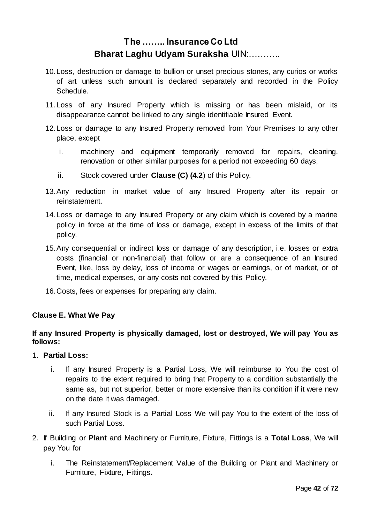- 10.Loss, destruction or damage to bullion or unset precious stones, any curios or works of art unless such amount is declared separately and recorded in the Policy Schedule.
- 11.Loss of any Insured Property which is missing or has been mislaid, or its disappearance cannot be linked to any single identifiable Insured Event.
- 12.Loss or damage to any Insured Property removed from Your Premises to any other place, except
	- i. machinery and equipment temporarily removed for repairs, cleaning, renovation or other similar purposes for a period not exceeding 60 days,
	- ii. Stock covered under **Clause (C) (4.2**) of this Policy.
- 13.Any reduction in market value of any Insured Property after its repair or reinstatement.
- 14.Loss or damage to any Insured Property or any claim which is covered by a marine policy in force at the time of loss or damage, except in excess of the limits of that policy.
- 15.Any consequential or indirect loss or damage of any description, i.e. losses or extra costs (financial or non-financial) that follow or are a consequence of an Insured Event, like, loss by delay, loss of income or wages or earnings, or of market, or of time, medical expenses, or any costs not covered by this Policy.
- 16.Costs, fees or expenses for preparing any claim.

#### **Clause E. What We Pay**

#### **If any Insured Property is physically damaged, lost or destroyed, We will pay You as follows:**

- 1. **Partial Loss:**
	- i. If any Insured Property is a Partial Loss, We will reimburse to You the cost of repairs to the extent required to bring that Property to a condition substantially the same as, but not superior, better or more extensive than its condition if it were new on the date it was damaged.
	- ii. If any Insured Stock is a Partial Loss We will pay You to the extent of the loss of such Partial Loss.
- 2. If Building or **Plant** and Machinery or Furniture, Fixture, Fittings is a **Total Loss**, We will pay You for
	- i. The Reinstatement/Replacement Value of the Building or Plant and Machinery or Furniture, Fixture, Fittings**.**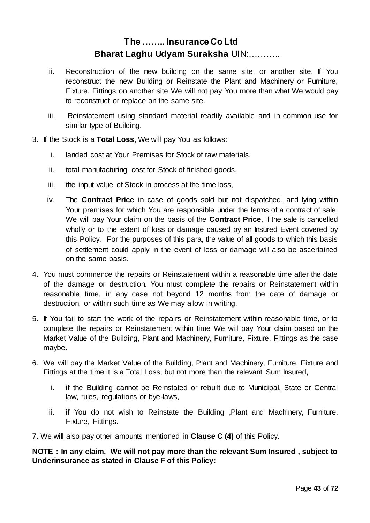- ii. Reconstruction of the new building on the same site, or another site. If You reconstruct the new Building or Reinstate the Plant and Machinery or Furniture, Fixture, Fittings on another site We will not pay You more than what We would pay to reconstruct or replace on the same site.
- iii. Reinstatement using standard material readily available and in common use for similar type of Building.
- 3. If the Stock is a **Total Loss**, We will pay You as follows:
	- i. landed cost at Your Premises for Stock of raw materials,
	- ii. total manufacturing cost for Stock of finished goods,
	- iii. the input value of Stock in process at the time loss,
	- iv. The **Contract Price** in case of goods sold but not dispatched, and lying within Your premises for which You are responsible under the terms of a contract of sale. We will pay Your claim on the basis of the **Contract Price**, if the sale is cancelled wholly or to the extent of loss or damage caused by an Insured Event covered by this Policy. For the purposes of this para, the value of all goods to which this basis of settlement could apply in the event of loss or damage will also be ascertained on the same basis.
- 4. You must commence the repairs or Reinstatement within a reasonable time after the date of the damage or destruction. You must complete the repairs or Reinstatement within reasonable time, in any case not beyond 12 months from the date of damage or destruction, or within such time as We may allow in writing.
- 5. If You fail to start the work of the repairs or Reinstatement within reasonable time, or to complete the repairs or Reinstatement within time We will pay Your claim based on the Market Value of the Building, Plant and Machinery, Furniture, Fixture, Fittings as the case maybe.
- 6. We will pay the Market Value of the Building, Plant and Machinery, Furniture, Fixture and Fittings at the time it is a Total Loss, but not more than the relevant Sum Insured,
	- i. if the Building cannot be Reinstated or rebuilt due to Municipal, State or Central law, rules, regulations or bye-laws,
	- ii. if You do not wish to Reinstate the Building ,Plant and Machinery, Furniture, Fixture, Fittings.
- 7. We will also pay other amounts mentioned in **Clause C (4)** of this Policy.

**NOTE : In any claim, We will not pay more than the relevant Sum Insured , subject to Underinsurance as stated in Clause F of this Policy:**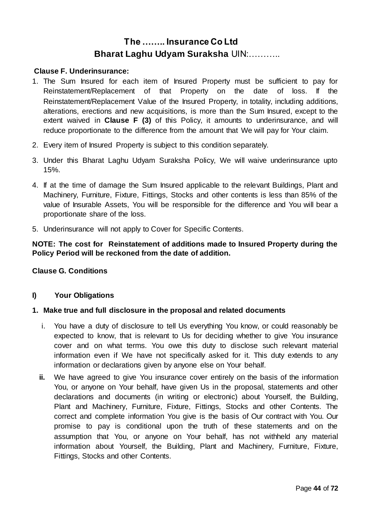#### **Clause F. Underinsurance:**

- 1. The Sum Insured for each item of Insured Property must be sufficient to pay for Reinstatement/Replacement of that Property on the date of loss. If the Reinstatement/Replacement Value of the Insured Property, in totality, including additions, alterations, erections and new acquisitions, is more than the Sum Insured, except to the extent waived in **Clause F (3)** of this Policy, it amounts to underinsurance, and will reduce proportionate to the difference from the amount that We will pay for Your claim.
- 2. Every item of Insured Property is subject to this condition separately.
- 3. Under this Bharat Laghu Udyam Suraksha Policy, We will waive underinsurance upto 15%.
- 4. If at the time of damage the Sum Insured applicable to the relevant Buildings, Plant and Machinery, Furniture, Fixture, Fittings, Stocks and other contents is less than 85% of the value of Insurable Assets, You will be responsible for the difference and You will bear a proportionate share of the loss.
- 5. Underinsurance will not apply to Cover for Specific Contents.

#### **NOTE: The cost for Reinstatement of additions made to Insured Property during the Policy Period will be reckoned from the date of addition.**

#### **Clause G. Conditions**

#### **I) Your Obligations**

#### **1. Make true and full disclosure in the proposal and related documents**

- i. You have a duty of disclosure to tell Us everything You know, or could reasonably be expected to know, that is relevant to Us for deciding whether to give You insurance cover and on what terms. You owe this duty to disclose such relevant material information even if We have not specifically asked for it. This duty extends to any information or declarations given by anyone else on Your behalf.
- **ii.** We have agreed to give You insurance cover entirely on the basis of the information You, or anyone on Your behalf, have given Us in the proposal, statements and other declarations and documents (in writing or electronic) about Yourself, the Building, Plant and Machinery, Furniture, Fixture, Fittings, Stocks and other Contents. The correct and complete information You give is the basis of Our contract with You. Our promise to pay is conditional upon the truth of these statements and on the assumption that You, or anyone on Your behalf, has not withheld any material information about Yourself, the Building, Plant and Machinery, Furniture, Fixture, Fittings, Stocks and other Contents.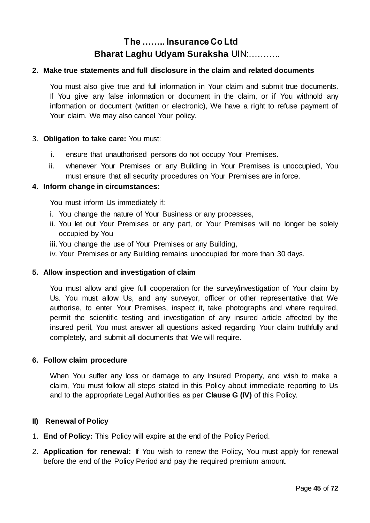#### **2. Make true statements and full disclosure in the claim and related documents**

You must also give true and full information in Your claim and submit true documents. If You give any false information or document in the claim, or if You withhold any information or document (written or electronic), We have a right to refuse payment of Your claim. We may also cancel Your policy.

#### 3. **Obligation to take care:** You must:

- i. ensure that unauthorised persons do not occupy Your Premises.
- ii. whenever Your Premises or any Building in Your Premises is unoccupied, You must ensure that all security procedures on Your Premises are in force.

#### **4. Inform change in circumstances:**

You must inform Us immediately if:

- i. You change the nature of Your Business or any processes,
- ii. You let out Your Premises or any part, or Your Premises will no longer be solely occupied by You
- iii.You change the use of Your Premises or any Building,
- iv. Your Premises or any Building remains unoccupied for more than 30 days.

#### **5. Allow inspection and investigation of claim**

You must allow and give full cooperation for the survey/investigation of Your claim by Us. You must allow Us, and any surveyor, officer or other representative that We authorise, to enter Your Premises, inspect it, take photographs and where required, permit the scientific testing and investigation of any insured article affected by the insured peril, You must answer all questions asked regarding Your claim truthfully and completely, and submit all documents that We will require.

#### **6. Follow claim procedure**

When You suffer any loss or damage to any Insured Property, and wish to make a claim, You must follow all steps stated in this Policy about immediate reporting to Us and to the appropriate Legal Authorities as per **Clause G (IV)** of this Policy.

#### **II) Renewal of Policy**

- 1. **End of Policy:** This Policy will expire at the end of the Policy Period.
- 2. **Application for renewal:** If You wish to renew the Policy, You must apply for renewal before the end of the Policy Period and pay the required premium amount.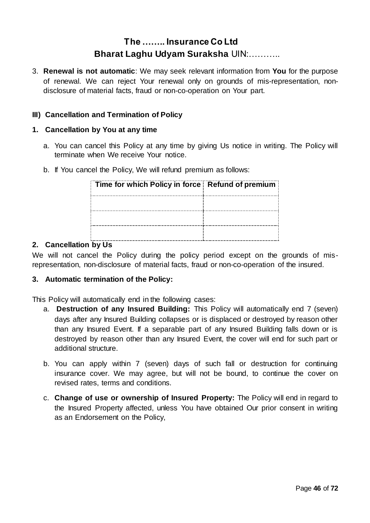3. **Renewal is not automatic**: We may seek relevant information from **You** for the purpose of renewal. We can reject Your renewal only on grounds of mis-representation, nondisclosure of material facts, fraud or non-co-operation on Your part.

#### **III) Cancellation and Termination of Policy**

#### **1. Cancellation by You at any time**

- a. You can cancel this Policy at any time by giving Us notice in writing. The Policy will terminate when We receive Your notice.
- b. If You cancel the Policy, We will refund premium as follows:

| Time for which Policy in force Refund of premium |  |
|--------------------------------------------------|--|
|                                                  |  |
|                                                  |  |
|                                                  |  |

#### **2. Cancellation by Us**

We will not cancel the Policy during the policy period except on the grounds of misrepresentation, non-disclosure of material facts, fraud or non-co-operation of the insured.

#### **3. Automatic termination of the Policy:**

This Policy will automatically end in the following cases:

- a. **Destruction of any Insured Building:** This Policy will automatically end 7 (seven) days after any Insured Building collapses or is displaced or destroyed by reason other than any Insured Event. If a separable part of any Insured Building falls down or is destroyed by reason other than any Insured Event, the cover will end for such part or additional structure.
- b. You can apply within 7 (seven) days of such fall or destruction for continuing insurance cover. We may agree, but will not be bound, to continue the cover on revised rates, terms and conditions.
- c. **Change of use or ownership of Insured Property:** The Policy will end in regard to the Insured Property affected, unless You have obtained Our prior consent in writing as an Endorsement on the Policy,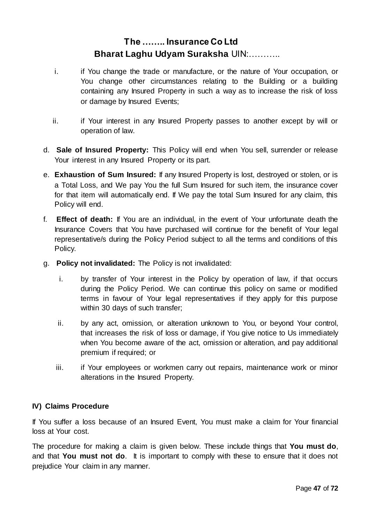- i. if You change the trade or manufacture, or the nature of Your occupation, or You change other circumstances relating to the Building or a building containing any Insured Property in such a way as to increase the risk of loss or damage by Insured Events;
- ii. if Your interest in any Insured Property passes to another except by will or operation of law.
- d. **Sale of Insured Property:** This Policy will end when You sell, surrender or release Your interest in any Insured Property or its part.
- e. **Exhaustion of Sum Insured:** If any Insured Property is lost, destroyed or stolen, or is a Total Loss, and We pay You the full Sum Insured for such item, the insurance cover for that item will automatically end. If We pay the total Sum Insured for any claim, this Policy will end.
- f. **Effect of death:** If You are an individual, in the event of Your unfortunate death the Insurance Covers that You have purchased will continue for the benefit of Your legal representative/s during the Policy Period subject to all the terms and conditions of this Policy.
- g. **Policy not invalidated:** The Policy is not invalidated:
	- i. by transfer of Your interest in the Policy by operation of law, if that occurs during the Policy Period. We can continue this policy on same or modified terms in favour of Your legal representatives if they apply for this purpose within 30 days of such transfer;
	- ii. by any act, omission, or alteration unknown to You, or beyond Your control, that increases the risk of loss or damage, if You give notice to Us immediately when You become aware of the act, omission or alteration, and pay additional premium if required; or
	- iii. if Your employees or workmen carry out repairs, maintenance work or minor alterations in the Insured Property.

#### **IV) Claims Procedure**

If You suffer a loss because of an Insured Event, You must make a claim for Your financial loss at Your cost.

The procedure for making a claim is given below. These include things that **You must do**, and that **You must not do**. It is important to comply with these to ensure that it does not prejudice Your claim in any manner.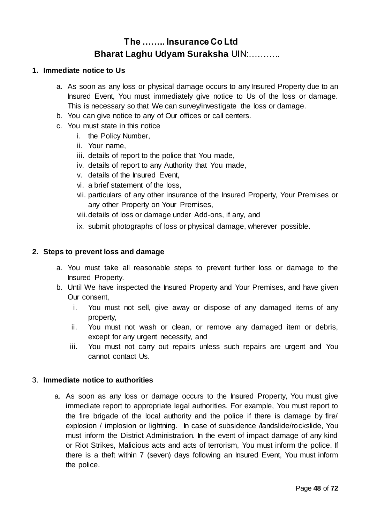#### **1. Immediate notice to Us**

- a. As soon as any loss or physical damage occurs to any Insured Property due to an Insured Event, You must immediately give notice to Us of the loss or damage. This is necessary so that We can survey/investigate the loss or damage.
- b. You can give notice to any of Our offices or call centers.
- c. You must state in this notice
	- i. the Policy Number,
	- ii. Your name,
	- iii. details of report to the police that You made,
	- iv. details of report to any Authority that You made,
	- v. details of the Insured Event,
	- vi. a brief statement of the loss,
	- vii. particulars of any other insurance of the Insured Property, Your Premises or any other Property on Your Premises,
	- viii.details of loss or damage under Add-ons, if any, and
	- ix. submit photographs of loss or physical damage, wherever possible.

#### **2. Steps to prevent loss and damage**

- a. You must take all reasonable steps to prevent further loss or damage to the Insured Property.
- b. Until We have inspected the Insured Property and Your Premises, and have given Our consent,
	- i. You must not sell, give away or dispose of any damaged items of any property,
	- ii. You must not wash or clean, or remove any damaged item or debris, except for any urgent necessity, and
	- iii. You must not carry out repairs unless such repairs are urgent and You cannot contact Us.

#### 3. **Immediate notice to authorities**

a. As soon as any loss or damage occurs to the Insured Property, You must give immediate report to appropriate legal authorities. For example, You must report to the fire brigade of the local authority and the police if there is damage by fire/ explosion / implosion or lightning. In case of subsidence /landslide/rockslide, You must inform the District Administration. In the event of impact damage of any kind or Riot Strikes, Malicious acts and acts of terrorism, You must inform the police. If there is a theft within 7 (seven) days following an Insured Event, You must inform the police.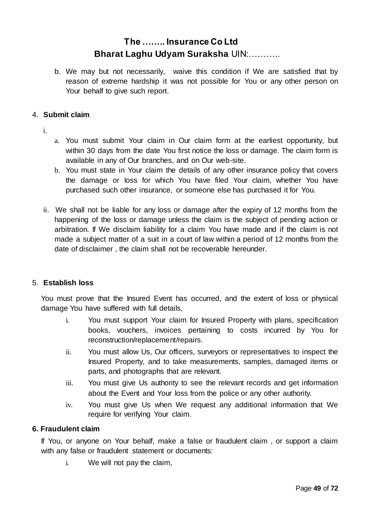b. We may but not necessarily, waive this condition if We are satisfied that by reason of extreme hardship it was not possible for You or any other person on Your behalf to give such report.

#### 4. **Submit claim**

- i.
- a. You must submit Your claim in Our claim form at the earliest opportunity, but within 30 days from the date You first notice the loss or damage. The claim form is available in any of Our branches, and on Our web-site.
- b. You must state in Your claim the details of any other insurance policy that covers the damage or loss for which You have filed Your claim, whether You have purchased such other insurance, or someone else has purchased it for You.
- ii. We shall not be liable for any loss or damage after the expiry of 12 months from the happening of the loss or damage unless the claim is the subject of pending action or arbitration. If We disclaim liability for a claim You have made and if the claim is not made a subject matter of a suit in a court of law within a period of 12 months from the date of disclaimer , the claim shall not be recoverable hereunder.

#### 5. **Establish loss**

You must prove that the Insured Event has occurred, and the extent of loss or physical damage You have suffered with full details,

- i. You must support Your claim for Insured Property with plans, specification books, vouchers, invoices pertaining to costs incurred by You for reconstruction/replacement/repairs.
- ii. You must allow Us, Our officers, surveyors or representatives to inspect the Insured Property, and to take measurements, samples, damaged items or parts, and photographs that are relevant.
- iii. You must give Us authority to see the relevant records and get information about the Event and Your loss from the police or any other authority.
- iv. You must give Us when We request any additional information that We require for verifying Your claim.

#### **6. Fraudulent claim**

If You, or anyone on Your behalf, make a false or fraudulent claim , or support a claim with any false or fraudulent statement or documents:

i. We will not pay the claim,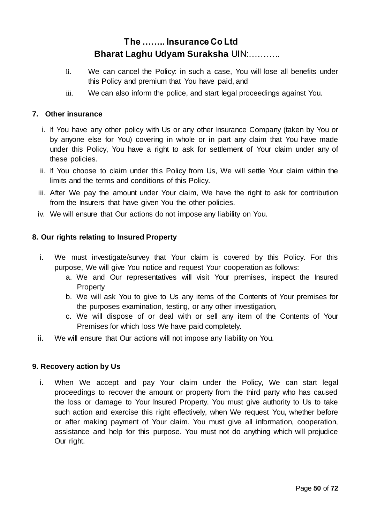- ii. We can cancel the Policy: in such a case, You will lose all benefits under this Policy and premium that You have paid, and
- iii. We can also inform the police, and start legal proceedings against You.

#### **7. Other insurance**

- i. If You have any other policy with Us or any other Insurance Company (taken by You or by anyone else for You) covering in whole or in part any claim that You have made under this Policy, You have a right to ask for settlement of Your claim under any of these policies.
- ii. If You choose to claim under this Policy from Us, We will settle Your claim within the limits and the terms and conditions of this Policy.
- iii. After We pay the amount under Your claim, We have the right to ask for contribution from the Insurers that have given You the other policies.
- iv. We will ensure that Our actions do not impose any liability on You.

### **8. Our rights relating to Insured Property**

- i. We must investigate/survey that Your claim is covered by this Policy. For this purpose, We will give You notice and request Your cooperation as follows:
	- a. We and Our representatives will visit Your premises, inspect the Insured **Property**
	- b. We will ask You to give to Us any items of the Contents of Your premises for the purposes examination, testing, or any other investigation,
	- c. We will dispose of or deal with or sell any item of the Contents of Your Premises for which loss We have paid completely.
- ii. We will ensure that Our actions will not impose any liability on You.

#### **9. Recovery action by Us**

i. When We accept and pay Your claim under the Policy, We can start legal proceedings to recover the amount or property from the third party who has caused the loss or damage to Your Insured Property. You must give authority to Us to take such action and exercise this right effectively, when We request You, whether before or after making payment of Your claim. You must give all information, cooperation, assistance and help for this purpose. You must not do anything which will prejudice Our right.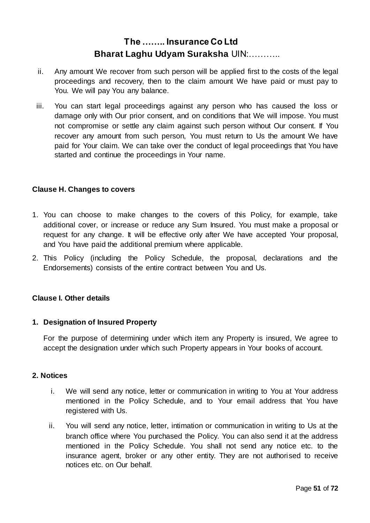- ii. Any amount We recover from such person will be applied first to the costs of the legal proceedings and recovery, then to the claim amount We have paid or must pay to You. We will pay You any balance.
- iii. You can start legal proceedings against any person who has caused the loss or damage only with Our prior consent, and on conditions that We will impose. You must not compromise or settle any claim against such person without Our consent. If You recover any amount from such person, You must return to Us the amount We have paid for Your claim. We can take over the conduct of legal proceedings that You have started and continue the proceedings in Your name.

#### **Clause H. Changes to covers**

- 1. You can choose to make changes to the covers of this Policy, for example, take additional cover, or increase or reduce any Sum Insured. You must make a proposal or request for any change. It will be effective only after We have accepted Your proposal, and You have paid the additional premium where applicable.
- 2. This Policy (including the Policy Schedule, the proposal, declarations and the Endorsements) consists of the entire contract between You and Us.

#### **Clause I. Other details**

#### **1. Designation of Insured Property**

For the purpose of determining under which item any Property is insured, We agree to accept the designation under which such Property appears in Your books of account.

#### **2. Notices**

- i. We will send any notice, letter or communication in writing to You at Your address mentioned in the Policy Schedule, and to Your email address that You have registered with Us.
- ii. You will send any notice, letter, intimation or communication in writing to Us at the branch office where You purchased the Policy. You can also send it at the address mentioned in the Policy Schedule. You shall not send any notice etc. to the insurance agent, broker or any other entity. They are not authorised to receive notices etc. on Our behalf.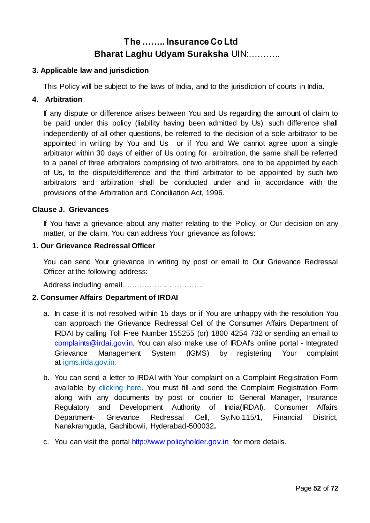#### **3. Applicable law and jurisdiction**

This Policy will be subject to the laws of India, and to the jurisdiction of courts in India.

#### **4. Arbitration**

If any dispute or difference arises between You and Us regarding the amount of claim to be paid under this policy (liability having been admitted by Us), such difference shall independently of all other questions, be referred to the decision of a sole arbitrator to be appointed in writing by You and Us or if You and We cannot agree upon a single arbitrator within 30 days of either of Us opting for arbitration, the same shall be referred to a panel of three arbitrators comprising of two arbitrators, one to be appointed by each of Us, to the dispute/difference and the third arbitrator to be appointed by such two arbitrators and arbitration shall be conducted under and in accordance with the provisions of the Arbitration and Conciliation Act, 1996.

#### **Clause J. Grievances**

If You have a grievance about any matter relating to the Policy, or Our decision on any matter, or the claim, You can address Your grievance as follows:

#### **1. Our Grievance Redressal Officer**

You can send Your grievance in writing by post or email to Our Grievance Redressal Officer at the following address:

Address including email……………………………

#### **2. Consumer Affairs Department of IRDAI**

- a. In case it is not resolved within 15 days or if You are unhappy with the resolution You can approach the Grievance Redressal Cell of the Consumer Affairs Department of IRDAI by calling Toll Free Number 155255 (or) 1800 4254 732 or sending an email to [complaints@irdai.gov.in.](mailto:complaints@irdai.gov.in) You can also make use of IRDAI's online portal - Integrated Grievance Management System (IGMS) by registering Your complaint at [igms.irda.gov.in.](http://igms.irda.gov.in/)
- b. You can send a letter to IRDAI with Your complaint on a Complaint Registration Form available [by clicking here.](http://www.policyholder.gov.in/uploads/CEDocuments/complaintform.pdf) You must fill and send the Complaint Registration Form along with any documents by post or courier to General Manager, Insurance Regulatory and Development Authority of India(IRDAI), Consumer Affairs Department- Grievance Redressal Cell, Sy.No.115/1, Financial District, Nanakramguda, Gachibowli, Hyderabad-500032**.**
- c. You can visit the portal [http://www.policyholder.gov.in](http://www.policyholder.gov.in/) for more details.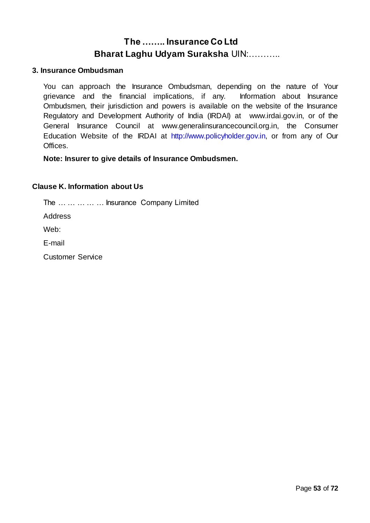#### **3. Insurance Ombudsman**

You can approach the Insurance Ombudsman, depending on the nature of Your grievance and the financial implications, if any. Information about Insurance Ombudsmen, their jurisdiction and powers is available on the website of the Insurance Regulatory and Development Authority of India (IRDAI) at [www.irdai.gov.in,](http://www.irdaindia.org/) or of the General Insurance Council at [www.generalinsurancecouncil.org.in,](http://www.generalinsurancecouncil.org.in/) the Consumer Education Website of the IRDAI a[t http://www.policyholder.gov.in,](http://www.policyholder.gov.in/) or from any of Our Offices.

**Note: Insurer to give details of Insurance Ombudsmen.**

#### **Clause K. Information about Us**

The … … … … … Insurance Company Limited

Address

Web:

E-mail

Customer Service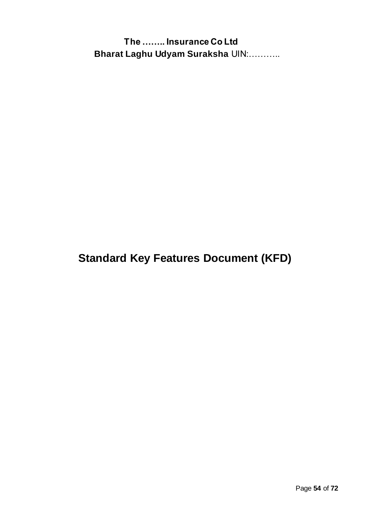**Standard Key Features Document (KFD)**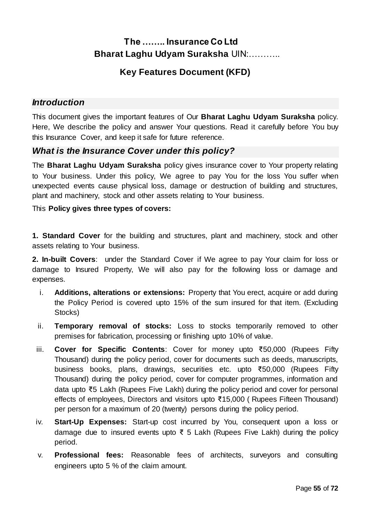## **Key Features Document (KFD)**

### *Introduction*

This document gives the important features of Our **Bharat Laghu Udyam Suraksha** policy. Here, We describe the policy and answer Your questions. Read it carefully before You buy this Insurance Cover, and keep it safe for future reference.

### *What is the Insurance Cover under this policy?*

The **Bharat Laghu Udyam Suraksha** policy gives insurance cover to Your property relating to Your business. Under this policy, We agree to pay You for the loss You suffer when unexpected events cause physical loss, damage or destruction of building and structures, plant and machinery, stock and other assets relating to Your business.

#### This **Policy gives three types of covers:**

**1. Standard Cover** for the building and structures, plant and machinery, stock and other assets relating to Your business.

**2. In-built Covers**: under the Standard Cover if We agree to pay Your claim for loss or damage to Insured Property, We will also pay for the following loss or damage and expenses.

- i. **Additions, alterations or extensions:** Property that You erect, acquire or add during the Policy Period is covered upto 15% of the sum insured for that item. (Excluding Stocks)
- ii. **Temporary removal of stocks:** Loss to stocks temporarily removed to other premises for fabrication, processing or finishing upto 10% of value.
- iii. **Cover for Specific Contents**: Cover for money upto ₹50,000 (Rupees Fifty Thousand) during the policy period, cover for documents such as deeds, manuscripts, business books, plans, drawings, securities etc. upto ₹50,000 (Rupees Fifty Thousand) during the policy period, cover for computer programmes, information and data upto ₹5 Lakh (Rupees Five Lakh) during the policy period and cover for personal effects of employees, Directors and visitors upto ₹15,000 ( Rupees Fifteen Thousand) per person for a maximum of 20 (twenty) persons during the policy period.
- iv. **Start-Up Expenses:** Start-up cost incurred by You, consequent upon a loss or damage due to insured events upto ₹ 5 Lakh (Rupees Five Lakh) during the policy period.
- v. **Professional fees:** Reasonable fees of architects, surveyors and consulting engineers upto 5 % of the claim amount.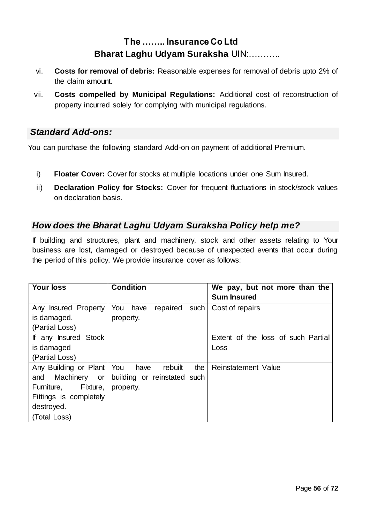- vi. **Costs for removal of debris:** Reasonable expenses for removal of debris upto 2% of the claim amount.
- vii. **Costs compelled by Municipal Regulations:** Additional cost of reconstruction of property incurred solely for complying with municipal regulations.

### *Standard Add-ons:*

You can purchase the following standard Add-on on payment of additional Premium.

- i) **Floater Cover:** Cover for stocks at multiple locations under one Sum Insured.
- ii) **Declaration Policy for Stocks:** Cover for frequent fluctuations in stock/stock values on declaration basis.

### *How does the Bharat Laghu Udyam Suraksha Policy help me?*

If building and structures, plant and machinery, stock and other assets relating to Your business are lost, damaged or destroyed because of unexpected events that occur during the period of this policy, We provide insurance cover as follows:

| <b>Your loss</b>                                                                                                            | <b>Condition</b>                                                          | We pay, but not more than the<br><b>Sum Insured</b> |
|-----------------------------------------------------------------------------------------------------------------------------|---------------------------------------------------------------------------|-----------------------------------------------------|
| Any Insured Property<br>is damaged.<br>(Partial Loss)                                                                       | You<br>repaired<br>such<br>have<br>property.                              | Cost of repairs                                     |
| If any Insured Stock<br>is damaged<br>(Partial Loss)                                                                        |                                                                           | Extent of the loss of such Partial<br>Loss          |
| Any Building or Plant<br>Machinery or<br>and<br>Furniture, Fixture,<br>Fittings is completely<br>destroyed.<br>(Total Loss) | You<br>the<br>rebuilt<br>have<br>building or reinstated such<br>property. | Reinstatement Value                                 |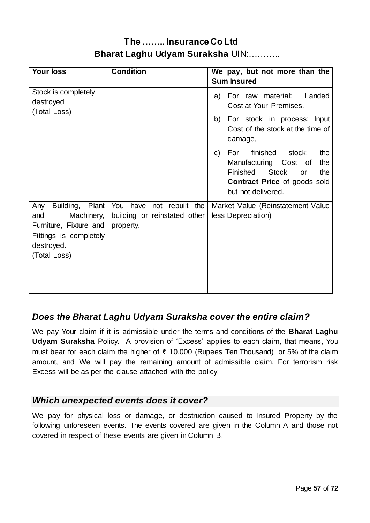| <b>Your loss</b>                                                                                                                 | <b>Condition</b>                                                         | We pay, but not more than the<br><b>Sum Insured</b>                                                                                                                              |
|----------------------------------------------------------------------------------------------------------------------------------|--------------------------------------------------------------------------|----------------------------------------------------------------------------------------------------------------------------------------------------------------------------------|
| Stock is completely<br>destroyed<br>(Total Loss)                                                                                 |                                                                          | For raw material:<br>Landed<br>a)<br>Cost at Your Premises.                                                                                                                      |
|                                                                                                                                  |                                                                          | b) For stock in process: Input<br>Cost of the stock at the time of<br>damage,                                                                                                    |
|                                                                                                                                  |                                                                          | For finished stock:<br>the<br>$\mathsf{C}$<br>Manufacturing Cost of<br>the<br><b>Stock</b><br>Finished<br>the<br>or<br><b>Contract Price of goods sold</b><br>but not delivered. |
| Plant<br>Building,<br>Any<br>Machinery,<br>and<br>Furniture, Fixture and<br>Fittings is completely<br>destroyed.<br>(Total Loss) | You have<br>not rebuilt the<br>building or reinstated other<br>property. | Market Value (Reinstatement Value<br>less Depreciation)                                                                                                                          |

### *Does the Bharat Laghu Udyam Suraksha cover the entire claim?*

We pay Your claim if it is admissible under the terms and conditions of the **Bharat Laghu Udyam Suraksha** Policy. A provision of 'Excess' applies to each claim, that means, You must bear for each claim the higher of ₹ 10,000 (Rupees Ten Thousand) or 5% of the claim amount, and We will pay the remaining amount of admissible claim. For terrorism risk Excess will be as per the clause attached with the policy.

### *Which unexpected events does it cover?*

We pay for physical loss or damage, or destruction caused to Insured Property by the following unforeseen events. The events covered are given in the Column A and those not covered in respect of these events are given in Column B.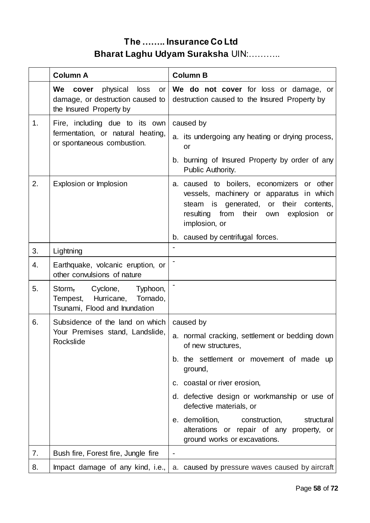|                | <b>Column A</b>                                                                                      | <b>Column B</b>                                                                                                                                                                                                                                                                                                                                                                   |
|----------------|------------------------------------------------------------------------------------------------------|-----------------------------------------------------------------------------------------------------------------------------------------------------------------------------------------------------------------------------------------------------------------------------------------------------------------------------------------------------------------------------------|
|                | We<br>physical<br>loss<br>cover<br>or<br>damage, or destruction caused to<br>the Insured Property by | We do not cover for loss or damage, or<br>destruction caused to the Insured Property by                                                                                                                                                                                                                                                                                           |
| 1 <sub>1</sub> | Fire, including due to its own<br>fermentation, or natural heating,<br>or spontaneous combustion.    | caused by<br>a. its undergoing any heating or drying process,<br>or<br>b. burning of Insured Property by order of any                                                                                                                                                                                                                                                             |
| 2.             | Explosion or Implosion                                                                               | Public Authority.<br>a. caused to boilers, economizers or other<br>vessels, machinery or apparatus in which<br>steam is generated,<br>or their<br>contents.<br>resulting from their<br>own<br>explosion<br>or<br>implosion, or<br>b. caused by centrifugal forces.                                                                                                                |
| 3.             | Lightning                                                                                            |                                                                                                                                                                                                                                                                                                                                                                                   |
| 4.             | Earthquake, volcanic eruption, or<br>other convulsions of nature                                     |                                                                                                                                                                                                                                                                                                                                                                                   |
| 5.             | Storm, Cyclone,<br>Typhoon,<br>Hurricane,<br>Tornado,<br>Tempest,<br>Tsunami, Flood and Inundation   |                                                                                                                                                                                                                                                                                                                                                                                   |
| 6.             | Subsidence of the land on which<br>Your Premises stand, Landslide,<br>Rockslide                      | caused by<br>a. normal cracking, settlement or bedding down<br>of new structures,<br>b. the settlement or movement of made up<br>ground,<br>c. coastal or river erosion,<br>d. defective design or workmanship or use of<br>defective materials, or<br>e. demolition,<br>construction,<br>structural<br>alterations or repair of any property, or<br>ground works or excavations. |
| 7.             | Bush fire, Forest fire, Jungle fire                                                                  |                                                                                                                                                                                                                                                                                                                                                                                   |
| 8.             | Impact damage of any kind, i.e.,                                                                     | a. caused by pressure waves caused by aircraft                                                                                                                                                                                                                                                                                                                                    |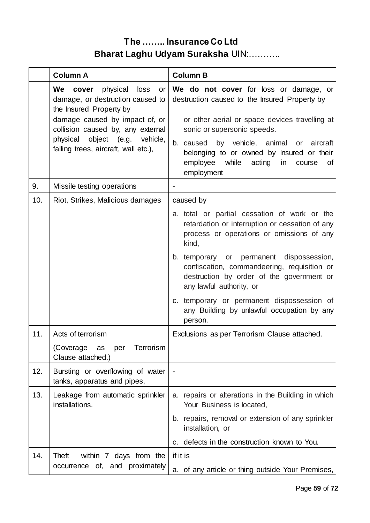|     | <b>Column A</b>                                                                                                                               | <b>Column B</b>                                                                                                                                                  |
|-----|-----------------------------------------------------------------------------------------------------------------------------------------------|------------------------------------------------------------------------------------------------------------------------------------------------------------------|
|     | physical<br>We<br>loss<br>cover<br>or<br>damage, or destruction caused to<br>the Insured Property by                                          | We do not cover for loss or damage, or<br>destruction caused to the Insured Property by                                                                          |
|     | damage caused by impact of, or<br>collision caused by, any external<br>physical object (e.g. vehicle,<br>falling trees, aircraft, wall etc.), | or other aerial or space devices travelling at<br>sonic or supersonic speeds.<br>b. caused by vehicle, animal or aircraft                                        |
|     |                                                                                                                                               | belonging to or owned by Insured or their<br>employee while<br>acting<br>in<br>course<br>0f<br>employment                                                        |
| 9.  | Missile testing operations                                                                                                                    |                                                                                                                                                                  |
| 10. | Riot, Strikes, Malicious damages                                                                                                              | caused by                                                                                                                                                        |
|     |                                                                                                                                               | a. total or partial cessation of work or the<br>retardation or interruption or cessation of any<br>process or operations or omissions of any<br>kind,            |
|     |                                                                                                                                               | b. temporary or permanent dispossession,<br>confiscation, commandeering, requisition or<br>destruction by order of the government or<br>any lawful authority, or |
|     |                                                                                                                                               | c. temporary or permanent dispossession of<br>any Building by unlawful occupation by any<br>person.                                                              |
| 11. | Acts of terrorism                                                                                                                             | Exclusions as per Terrorism Clause attached.                                                                                                                     |
|     | (Coverage<br>as<br>per<br>Terrorism<br>Clause attached.)                                                                                      |                                                                                                                                                                  |
| 12. | Bursting or overflowing of water<br>tanks, apparatus and pipes,                                                                               |                                                                                                                                                                  |
| 13. | Leakage from automatic sprinkler<br>installations.                                                                                            | repairs or alterations in the Building in which<br>а.<br>Your Business is located,                                                                               |
|     |                                                                                                                                               | b. repairs, removal or extension of any sprinkler<br>installation, or                                                                                            |
|     |                                                                                                                                               | defects in the construction known to You.<br>C.                                                                                                                  |
| 14. | Theft<br>within 7 days from the                                                                                                               | if it is                                                                                                                                                         |
|     | occurrence of, and proximately                                                                                                                | a. of any article or thing outside Your Premises,                                                                                                                |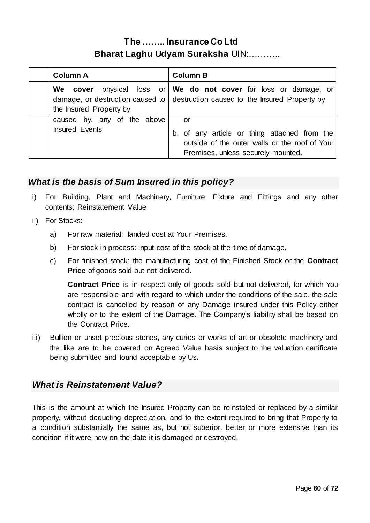| <b>Column A</b>                                      | <b>Column B</b>                                                                                                                                            |
|------------------------------------------------------|------------------------------------------------------------------------------------------------------------------------------------------------------------|
| the Insured Property by                              | We cover physical loss or We do not cover for loss or damage, or<br>damage, or destruction caused to $\vert$ destruction caused to the Insured Property by |
| caused by, any of the above<br><b>Insured Events</b> | or<br>b. of any article or thing attached from the<br>outside of the outer walls or the roof of Your<br>Premises, unless securely mounted.                 |

### *What is the basis of Sum Insured in this policy?*

- i) For Building, Plant and Machinery, Furniture, Fixture and Fittings and any other contents: Reinstatement Value
- ii) For Stocks:
	- a) For raw material: landed cost at Your Premises.
	- b) For stock in process: input cost of the stock at the time of damage,
	- c) For finished stock: the manufacturing cost of the Finished Stock or the **Contract Price** of goods sold but not delivered**.**

**Contract Price** is in respect only of goods sold but not delivered, for which You are responsible and with regard to which under the conditions of the sale, the sale contract is cancelled by reason of any Damage insured under this Policy either wholly or to the extent of the Damage. The Company's liability shall be based on the Contract Price.

iii) Bullion or unset precious stones, any curios or works of art or obsolete machinery and the like are to be covered on Agreed Value basis subject to the valuation certificate being submitted and found acceptable by Us**.**

### *What is Reinstatement Value?*

This is the amount at which the Insured Property can be reinstated or replaced by a similar property, without deducting depreciation, and to the extent required to bring that Property to a condition substantially the same as, but not superior, better or more extensive than its condition if it were new on the date it is damaged or destroyed.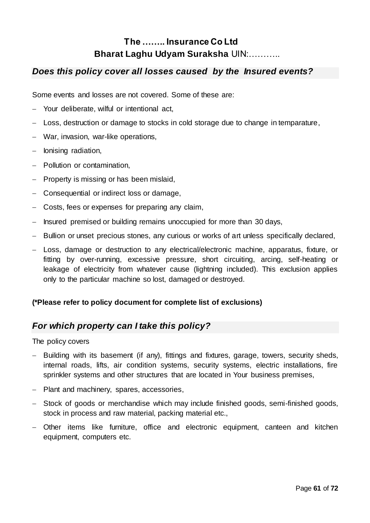### *Does this policy cover all losses caused by the Insured events?*

Some events and losses are not covered. Some of these are:

- Your deliberate, wilful or intentional act,
- Loss, destruction or damage to stocks in cold storage due to change in temparature,
- War, invasion, war-like operations,
- $-$  lonising radiation,
- Pollution or contamination,
- $-$  Property is missing or has been mislaid,
- Consequential or indirect loss or damage,
- Costs, fees or expenses for preparing any claim,
- Insured premised or building remains unoccupied for more than 30 days,
- Bullion or unset precious stones, any curious or works of art unless specifically declared,
- Loss, damage or destruction to any electrical/electronic machine, apparatus, fixture, or fitting by over-running, excessive pressure, short circuiting, arcing, self-heating or leakage of electricity from whatever cause (lightning included). This exclusion applies only to the particular machine so lost, damaged or destroyed.

### **(\*Please refer to policy document for complete list of exclusions)**

### *For which property can I take this policy?*

The policy covers

- Building with its basement (if any), fittings and fixtures, garage, towers, security sheds, internal roads, lifts, air condition systems, security systems, electric installations, fire sprinkler systems and other structures that are located in Your business premises,
- Plant and machinery, spares, accessories,
- Stock of goods or merchandise which may include finished goods, semi-finished goods, stock in process and raw material, packing material etc.,
- Other items like furniture, office and electronic equipment, canteen and kitchen equipment, computers etc.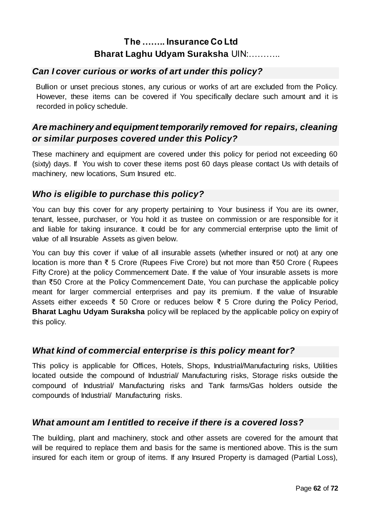### *Can I cover curious or works of art under this policy?*

 Bullion or unset precious stones, any curious or works of art are excluded from the Policy. However, these items can be covered if You specifically declare such amount and it is recorded in policy schedule.

## *Are machinery and equipment temporarily removed for repairs, cleaning or similar purposes covered under this Policy?*

These machinery and equipment are covered under this policy for period not exceeding 60 (sixty) days. If You wish to cover these items post 60 days please contact Us with details of machinery, new locations, Sum Insured etc.

### *Who is eligible to purchase this policy?*

You can buy this cover for any property pertaining to Your business if You are its owner, tenant, lessee, purchaser, or You hold it as trustee on commission or are responsible for it and liable for taking insurance. It could be for any commercial enterprise upto the limit of value of all Insurable Assets as given below.

You can buy this cover if value of all insurable assets (whether insured or not) at any one location is more than ₹ 5 Crore (Rupees Five Crore) but not more than ₹50 Crore ( Rupees Fifty Crore) at the policy Commencement Date. If the value of Your insurable assets is more than ₹50 Crore at the Policy Commencement Date, You can purchase the applicable policy meant for larger commercial enterprises and pay its premium. If the value of Insurable Assets either exceeds ₹ 50 Crore or reduces below ₹ 5 Crore during the Policy Period, **Bharat Laghu Udyam Suraksha** policy will be replaced by the applicable policy on expiry of this policy.

### *What kind of commercial enterprise is this policy meant for?*

This policy is applicable for Offices, Hotels, Shops, Industrial/Manufacturing risks, Utilities located outside the compound of Industrial/ Manufacturing risks, Storage risks outside the compound of Industrial/ Manufacturing risks and Tank farms/Gas holders outside the compounds of Industrial/ Manufacturing risks.

### *What amount am I entitled to receive if there is a covered loss?*

The building, plant and machinery, stock and other assets are covered for the amount that will be required to replace them and basis for the same is mentioned above. This is the sum insured for each item or group of items. If any Insured Property is damaged (Partial Loss),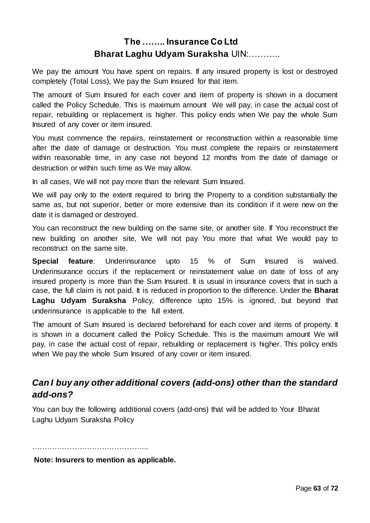We pay the amount You have spent on repairs. If any insured property is lost or destroyed completely (Total Loss), We pay the Sum Insured for that item.

The amount of Sum Insured for each cover and item of property is shown in a document called the Policy Schedule. This is maximum amount We will pay, in case the actual cost of repair, rebuilding or replacement is higher. This policy ends when We pay the whole Sum Insured of any cover or item insured.

You must commence the repairs, reinstatement or reconstruction within a reasonable time after the date of damage or destruction. You must complete the repairs or reinstatement within reasonable time, in any case not beyond 12 months from the date of damage or destruction or within such time as We may allow.

In all cases, We will not pay more than the relevant Sum Insured.

We will pay only to the extent required to bring the Property to a condition substantially the same as, but not superior, better or more extensive than its condition if it were new on the date it is damaged or destroyed.

You can reconstruct the new building on the same site, or another site. If You reconstruct the new building on another site, We will not pay You more that what We would pay to reconstruct on the same site.

**Special feature**: Underinsurance upto 15 % of Sum Insured is waived. Underinsurance occurs if the replacement or reinstatement value on date of loss of any insured property is more than the Sum Insured. It is usual in insurance covers that in such a case, the full claim is not paid. It is reduced in proportion to the difference. Under the **Bharat Laghu Udyam Suraksha** Policy, difference upto 15% is ignored, but beyond that underinsurance is applicable to the full extent.

The amount of Sum Insured is declared beforehand for each cover and items of property. It is shown in a document called the Policy Schedule. This is the maximum amount We will pay, in case the actual cost of repair, rebuilding or replacement is higher. This policy ends when We pay the whole Sum Insured of any cover or item insured.

### *Can I buy any other additional covers (add-ons) other than the standard add-ons?*

You can buy the following additional covers (add-ons) that will be added to Your Bharat Laghu Udyam Suraksha Policy

………………………………………………… **Note: Insurers to mention as applicable.**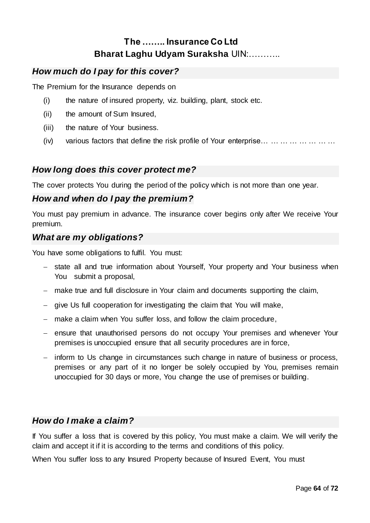### *How much do I pay for this cover?*

The Premium for the Insurance depends on

- (i) the nature of insured property, viz. building, plant, stock etc.
- (ii) the amount of Sum Insured,
- (iii) the nature of Your business.
- (iv) various factors that define the risk profile of Your enterprise… … … … … … … …

### *How long does this cover protect me?*

The cover protects You during the period of the policy which is not more than one year.

### *How and when do I pay the premium?*

You must pay premium in advance. The insurance cover begins only after We receive Your premium.

### *What are my obligations?*

You have some obligations to fulfil. You must:

- state all and true information about Yourself, Your property and Your business when You submit a proposal,
- make true and full disclosure in Your claim and documents supporting the claim,
- give Us full cooperation for investigating the claim that You will make,
- make a claim when You suffer loss, and follow the claim procedure,
- ensure that unauthorised persons do not occupy Your premises and whenever Your premises is unoccupied ensure that all security procedures are in force,
- inform to Us change in circumstances such change in nature of business or process, premises or any part of it no longer be solely occupied by You, premises remain unoccupied for 30 days or more, You change the use of premises or building.

### *How do I make a claim?*

If You suffer a loss that is covered by this policy, You must make a claim. We will verify the claim and accept it if it is according to the terms and conditions of this policy.

When You suffer loss to any Insured Property because of Insured Event, You must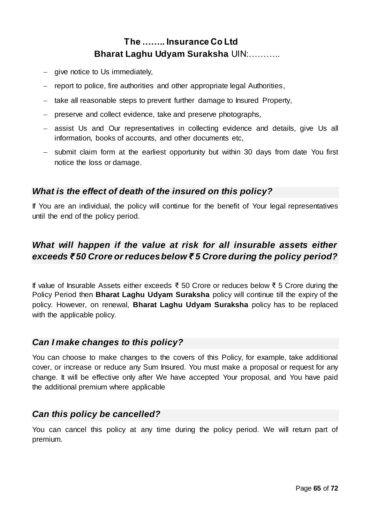- $-$  give notice to Us immediately,
- report to police, fire authorities and other appropriate legal Authorities,
- take all reasonable steps to prevent further damage to Insured Property,
- preserve and collect evidence, take and preserve photographs,
- assist Us and Our representatives in collecting evidence and details, give Us all information, books of accounts, and other documents etc,
- submit claim form at the earliest opportunity but within 30 days from date You first notice the loss or damage.

### *What is the effect of death of the insured on this policy?*

If You are an individual, the policy will continue for the benefit of Your legal representatives until the end of the policy period.

## *What will happen if the value at risk for all insurable assets either exceeds ₹ 50 Crore or reduces below ₹ 5 Crore during the policy period?*

If value of Insurable Assets either exceeds ₹ 50 Crore or reduces below ₹ 5 Crore during the Policy Period then **Bharat Laghu Udyam Suraksha** policy will continue till the expiry of the policy. However, on renewal, **Bharat Laghu Udyam Suraksha** policy has to be replaced with the applicable policy.

### *Can I make changes to this policy?*

You can choose to make changes to the covers of this Policy, for example, take additional cover, or increase or reduce any Sum Insured. You must make a proposal or request for any change. It will be effective only after We have accepted Your proposal, and You have paid the additional premium where applicable

### *Can this policy be cancelled?*

You can cancel this policy at any time during the policy period. We will return part of premium.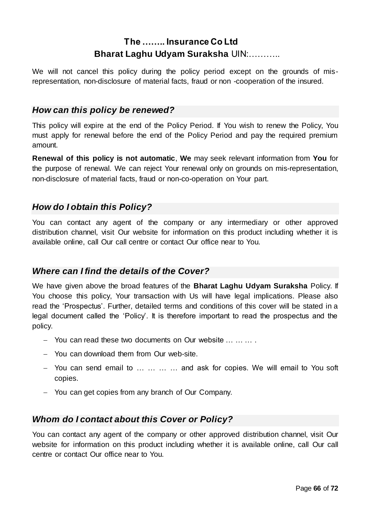We will not cancel this policy during the policy period except on the grounds of misrepresentation, non-disclosure of material facts, fraud or non -cooperation of the insured.

### *How can this policy be renewed?*

This policy will expire at the end of the Policy Period. If You wish to renew the Policy, You must apply for renewal before the end of the Policy Period and pay the required premium amount.

**Renewal of this policy is not automatic**, **We** may seek relevant information from **You** for the purpose of renewal. We can reject Your renewal only on grounds on mis-representation, non-disclosure of material facts, fraud or non-co-operation on Your part.

### *How do I obtain this Policy?*

You can contact any agent of the company or any intermediary or other approved distribution channel, visit Our website for information on this product including whether it is available online, call Our call centre or contact Our office near to You.

### *Where can I find the details of the Cover?*

We have given above the broad features of the **Bharat Laghu Udyam Suraksha** Policy. If You choose this policy, Your transaction with Us will have legal implications. Please also read the 'Prospectus'. Further, detailed terms and conditions of this cover will be stated in a legal document called the 'Policy'. It is therefore important to read the prospectus and the policy.

- You can read these two documents on Our website … … … .
- You can download them from Our web-site.
- You can send email to … … … … and ask for copies. We will email to You soft copies.
- You can get copies from any branch of Our Company.

### *Whom do I contact about this Cover or Policy?*

You can contact any agent of the company or other approved distribution channel, visit Our website for information on this product including whether it is available online, call Our call centre or contact Our office near to You.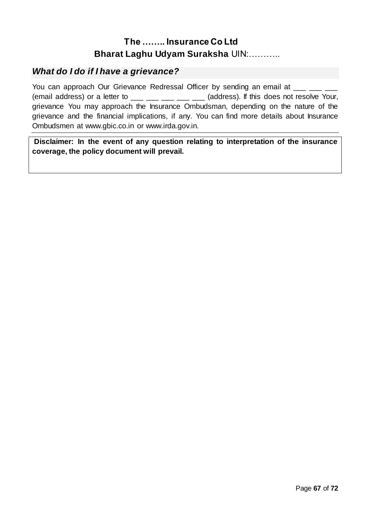### *What do I do if I have a grievance?*

You can approach Our Grievance Redressal Officer by sending an email at \_\_\_ \_ (email address) or a letter to  $\frac{1}{\sqrt{2}} \frac{1}{\sqrt{2}} \frac{1}{\sqrt{2}} \frac{1}{\sqrt{2}}$  (address). If this does not resolve Your, grievance You may approach the Insurance Ombudsman, depending on the nature of the grievance and the financial implications, if any. You can find more details about Insurance Ombudsmen at [www.gbic.co.in](http://www.gbic.co.in/) or [www.irda.gov.in.](http://www.irda.gov.in/) 

**Disclaimer: In the event of any question relating to interpretation of the insurance coverage, the policy document will prevail.**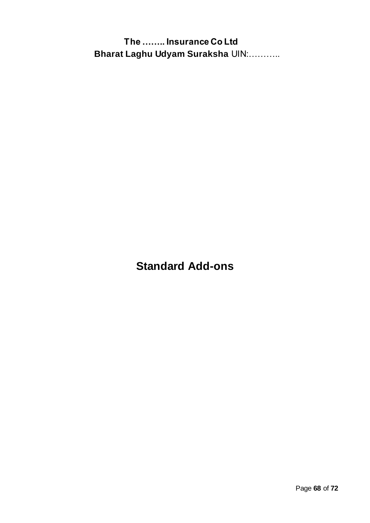**Standard Add-ons**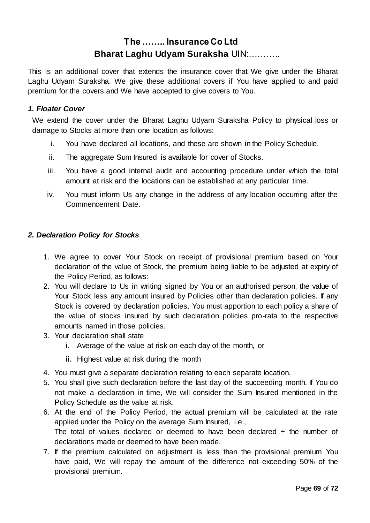This is an additional cover that extends the insurance cover that We give under the Bharat Laghu Udyam Suraksha. We give these additional covers if You have applied to and paid premium for the covers and We have accepted to give covers to You.

#### *1. Floater Cover*

We extend the cover under the Bharat Laghu Udyam Suraksha Policy to physical loss or damage to Stocks at more than one location as follows:

- i. You have declared all locations, and these are shown in the Policy Schedule.
- ii. The aggregate Sum Insured is available for cover of Stocks.
- iii. You have a good internal audit and accounting procedure under which the total amount at risk and the locations can be established at any particular time.
- iv. You must inform Us any change in the address of any location occurring after the Commencement Date.

#### *2. Declaration Policy for Stocks*

- 1. We agree to cover Your Stock on receipt of provisional premium based on Your declaration of the value of Stock, the premium being liable to be adjusted at expiry of the Policy Period, as follows:
- 2. You will declare to Us in writing signed by You or an authorised person, the value of Your Stock less any amount insured by Policies other than declaration policies. If any Stock is covered by declaration policies, You must apportion to each policy a share of the value of stocks insured by such declaration policies pro-rata to the respective amounts named in those policies.
- 3. Your declaration shall state
	- i. Average of the value at risk on each day of the month, or
	- ii. Highest value at risk during the month
- 4. You must give a separate declaration relating to each separate location.
- 5. You shall give such declaration before the last day of the succeeding month. If You do not make a declaration in time, We will consider the Sum Insured mentioned in the Policy Schedule as the value at risk.
- 6. At the end of the Policy Period, the actual premium will be calculated at the rate applied under the Policy on the average Sum Insured, i.e., The total of values declared or deemed to have been declared  $\div$  the number of declarations made or deemed to have been made.
- 7. If the premium calculated on adjustment is less than the provisional premium You have paid, We will repay the amount of the difference not exceeding 50% of the provisional premium.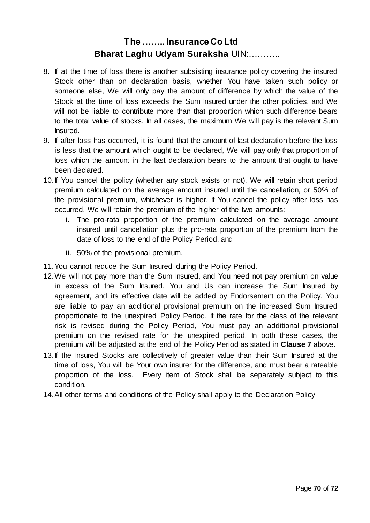- 8. If at the time of loss there is another subsisting insurance policy covering the insured Stock other than on declaration basis, whether You have taken such policy or someone else, We will only pay the amount of difference by which the value of the Stock at the time of loss exceeds the Sum Insured under the other policies, and We will not be liable to contribute more than that proportion which such difference bears to the total value of stocks. In all cases, the maximum We will pay is the relevant Sum Insured.
- 9. If after loss has occurred, it is found that the amount of last declaration before the loss is less that the amount which ought to be declared, We will pay only that proportion of loss which the amount in the last declaration bears to the amount that ought to have been declared.
- 10.If You cancel the policy (whether any stock exists or not), We will retain short period premium calculated on the average amount insured until the cancellation, or 50% of the provisional premium, whichever is higher. If You cancel the policy after loss has occurred, We will retain the premium of the higher of the two amounts:
	- i. The pro-rata proportion of the premium calculated on the average amount insured until cancellation plus the pro-rata proportion of the premium from the date of loss to the end of the Policy Period, and
	- ii. 50% of the provisional premium.
- 11.You cannot reduce the Sum Insured during the Policy Period.
- 12.We will not pay more than the Sum Insured, and You need not pay premium on value in excess of the Sum Insured. You and Us can increase the Sum Insured by agreement, and its effective date will be added by Endorsement on the Policy. You are liable to pay an additional provisional premium on the increased Sum Insured proportionate to the unexpired Policy Period. If the rate for the class of the relevant risk is revised during the Policy Period, You must pay an additional provisional premium on the revised rate for the unexpired period. In both these cases, the premium will be adjusted at the end of the Policy Period as stated in **Clause 7** above.
- 13.If the Insured Stocks are collectively of greater value than their Sum Insured at the time of loss, You will be Your own insurer for the difference, and must bear a rateable proportion of the loss. Every item of Stock shall be separately subject to this condition.
- 14.All other terms and conditions of the Policy shall apply to the Declaration Policy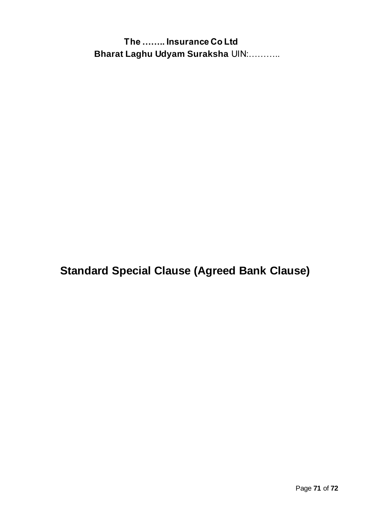**Standard Special Clause (Agreed Bank Clause)**